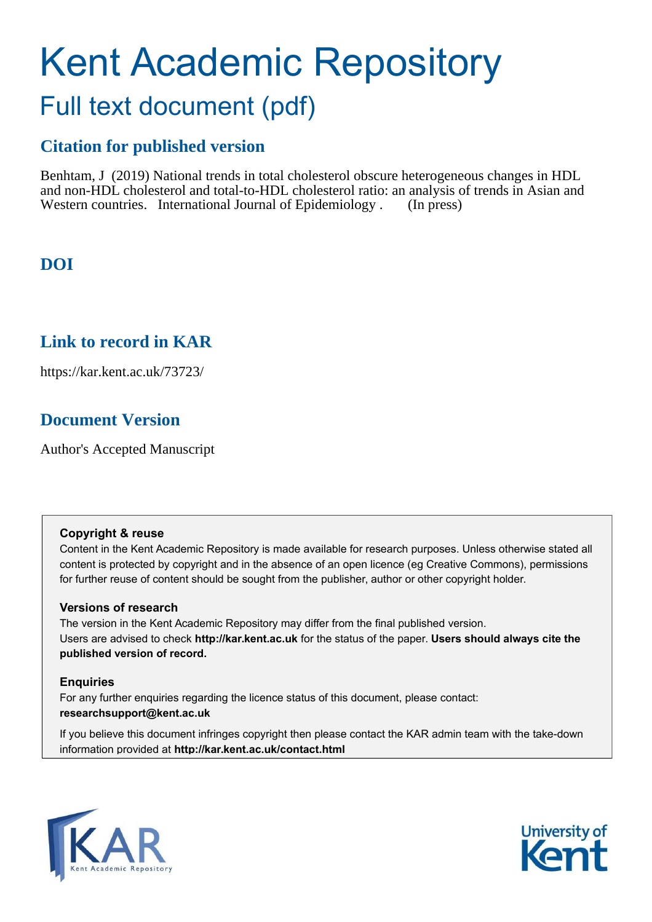# Kent Academic Repository Full text document (pdf)

# **Citation for published version**

Benhtam, J (2019) National trends in total cholesterol obscure heterogeneous changes in HDL and non-HDL cholesterol and total-to-HDL cholesterol ratio: an analysis of trends in Asian and Western countries. International Journal of Epidemiology . (In press)

# **DOI**

# **Link to record in KAR**

https://kar.kent.ac.uk/73723/

# **Document Version**

Author's Accepted Manuscript

# **Copyright & reuse**

Content in the Kent Academic Repository is made available for research purposes. Unless otherwise stated all content is protected by copyright and in the absence of an open licence (eg Creative Commons), permissions for further reuse of content should be sought from the publisher, author or other copyright holder.

# **Versions of research**

The version in the Kent Academic Repository may differ from the final published version. Users are advised to check **http://kar.kent.ac.uk** for the status of the paper. **Users should always cite the published version of record.**

# **Enquiries**

For any further enquiries regarding the licence status of this document, please contact: **researchsupport@kent.ac.uk**

If you believe this document infringes copyright then please contact the KAR admin team with the take-down information provided at **http://kar.kent.ac.uk/contact.html**



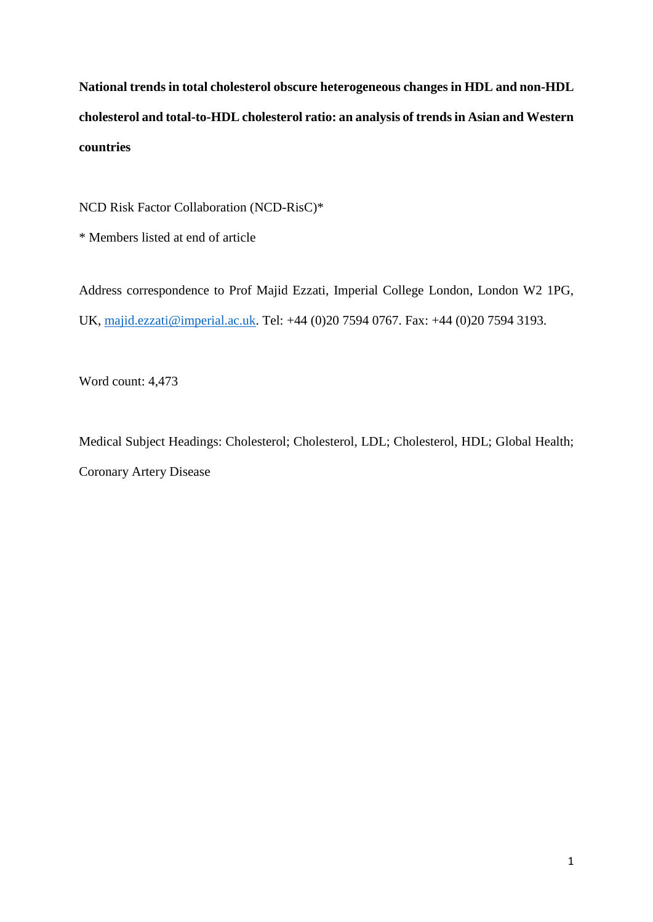**National trends in total cholesterol obscure heterogeneous changes in HDL and non-HDL cholesterol and total-to-HDL cholesterol ratio: an analysis of trends in Asian and Western countries**

NCD Risk Factor Collaboration (NCD-RisC)\*

\* Members listed at end of article

Address correspondence to Prof Majid Ezzati, Imperial College London, London W2 1PG, UK, [majid.ezzati@imperial.ac.uk.](mailto:majid.ezzati@imperial.ac.uk) Tel: +44 (0)20 7594 0767. Fax: +44 (0)20 7594 3193.

Word count: 4,473

Medical Subject Headings: Cholesterol; Cholesterol, LDL; Cholesterol, HDL; Global Health; Coronary Artery Disease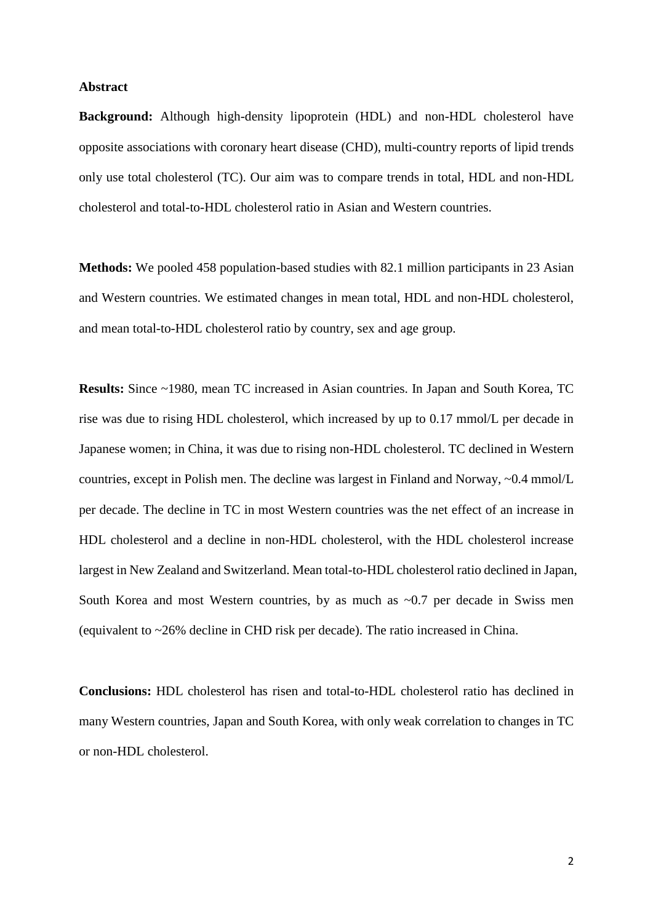#### **Abstract**

**Background:** Although high-density lipoprotein (HDL) and non-HDL cholesterol have opposite associations with coronary heart disease (CHD), multi-country reports of lipid trends only use total cholesterol (TC). Our aim was to compare trends in total, HDL and non-HDL cholesterol and total-to-HDL cholesterol ratio in Asian and Western countries.

**Methods:** We pooled 458 population-based studies with 82.1 million participants in 23 Asian and Western countries. We estimated changes in mean total, HDL and non-HDL cholesterol, and mean total-to-HDL cholesterol ratio by country, sex and age group.

**Results:** Since ~1980, mean TC increased in Asian countries. In Japan and South Korea, TC rise was due to rising HDL cholesterol, which increased by up to 0.17 mmol/L per decade in Japanese women; in China, it was due to rising non-HDL cholesterol. TC declined in Western countries, except in Polish men. The decline was largest in Finland and Norway, ~0.4 mmol/L per decade. The decline in TC in most Western countries was the net effect of an increase in HDL cholesterol and a decline in non-HDL cholesterol, with the HDL cholesterol increase largest in New Zealand and Switzerland. Mean total-to-HDL cholesterol ratio declined in Japan, South Korea and most Western countries, by as much as ~0.7 per decade in Swiss men (equivalent to ~26% decline in CHD risk per decade). The ratio increased in China.

**Conclusions:** HDL cholesterol has risen and total-to-HDL cholesterol ratio has declined in many Western countries, Japan and South Korea, with only weak correlation to changes in TC or non-HDL cholesterol.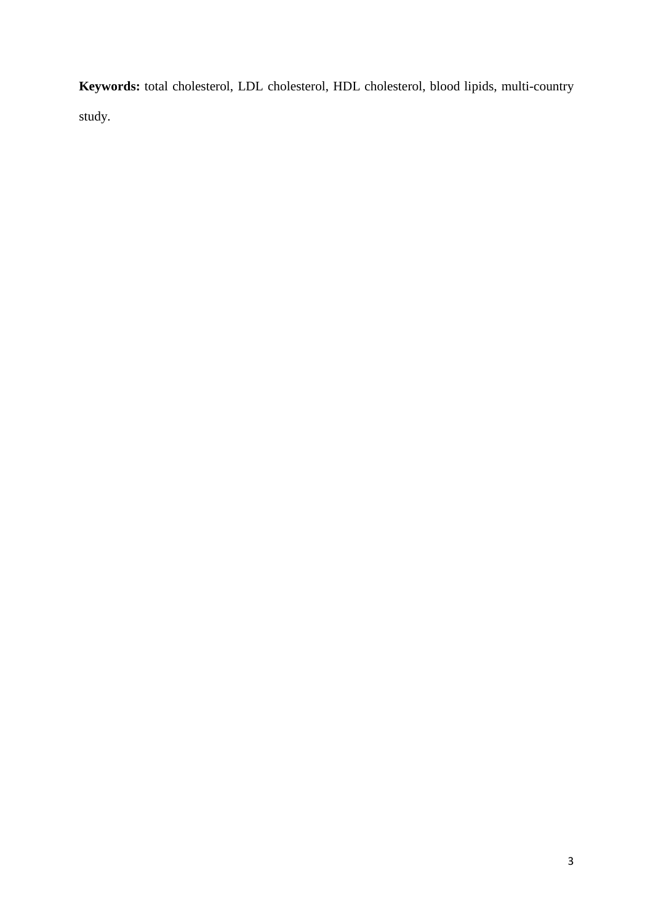**Keywords:** total cholesterol, LDL cholesterol, HDL cholesterol, blood lipids, multi-country study.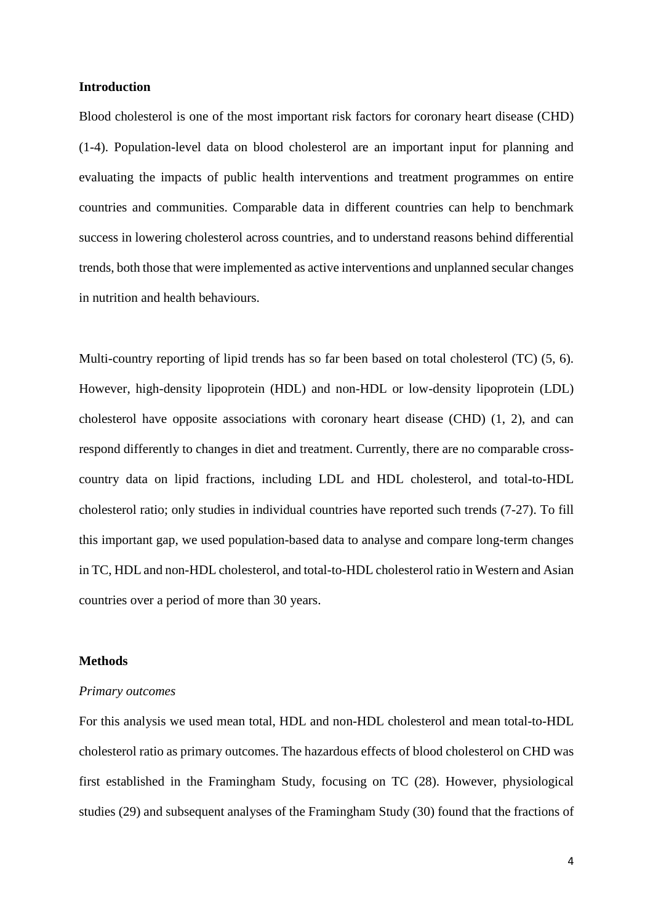#### **Introduction**

Blood cholesterol is one of the most important risk factors for coronary heart disease (CHD) (1-4). Population-level data on blood cholesterol are an important input for planning and evaluating the impacts of public health interventions and treatment programmes on entire countries and communities. Comparable data in different countries can help to benchmark success in lowering cholesterol across countries, and to understand reasons behind differential trends, both those that were implemented as active interventions and unplanned secular changes in nutrition and health behaviours.

Multi-country reporting of lipid trends has so far been based on total cholesterol (TC) (5, 6). However, high-density lipoprotein (HDL) and non-HDL or low-density lipoprotein (LDL) cholesterol have opposite associations with coronary heart disease (CHD) (1, 2), and can respond differently to changes in diet and treatment. Currently, there are no comparable crosscountry data on lipid fractions, including LDL and HDL cholesterol, and total-to-HDL cholesterol ratio; only studies in individual countries have reported such trends (7-27). To fill this important gap, we used population-based data to analyse and compare long-term changes in TC, HDL and non-HDL cholesterol, and total-to-HDL cholesterol ratio in Western and Asian countries over a period of more than 30 years.

#### **Methods**

#### *Primary outcomes*

For this analysis we used mean total, HDL and non-HDL cholesterol and mean total-to-HDL cholesterol ratio as primary outcomes. The hazardous effects of blood cholesterol on CHD was first established in the Framingham Study, focusing on TC (28). However, physiological studies (29) and subsequent analyses of the Framingham Study (30) found that the fractions of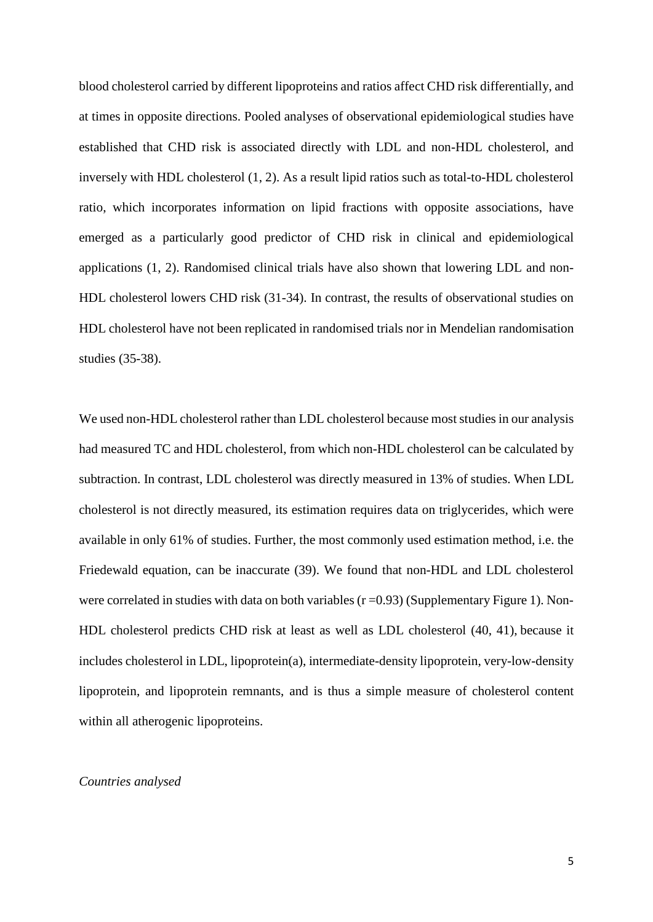blood cholesterol carried by different lipoproteins and ratios affect CHD risk differentially, and at times in opposite directions. Pooled analyses of observational epidemiological studies have established that CHD risk is associated directly with LDL and non-HDL cholesterol, and inversely with HDL cholesterol (1, 2). As a result lipid ratios such as total-to-HDL cholesterol ratio, which incorporates information on lipid fractions with opposite associations, have emerged as a particularly good predictor of CHD risk in clinical and epidemiological applications (1, 2). Randomised clinical trials have also shown that lowering LDL and non-HDL cholesterol lowers CHD risk (31-34). In contrast, the results of observational studies on HDL cholesterol have not been replicated in randomised trials nor in Mendelian randomisation studies (35-38).

We used non-HDL cholesterol rather than LDL cholesterol because most studies in our analysis had measured TC and HDL cholesterol, from which non-HDL cholesterol can be calculated by subtraction. In contrast, LDL cholesterol was directly measured in 13% of studies. When LDL cholesterol is not directly measured, its estimation requires data on triglycerides, which were available in only 61% of studies. Further, the most commonly used estimation method, i.e. the Friedewald equation, can be inaccurate (39). We found that non-HDL and LDL cholesterol were correlated in studies with data on both variables  $(r=0.93)$  (Supplementary Figure 1). Non-HDL cholesterol predicts CHD risk at least as well as LDL cholesterol (40, 41), because it includes cholesterol in LDL, lipoprotein(a), intermediate-density lipoprotein, very-low-density lipoprotein, and lipoprotein remnants, and is thus a simple measure of cholesterol content within all atherogenic lipoproteins.

#### *Countries analysed*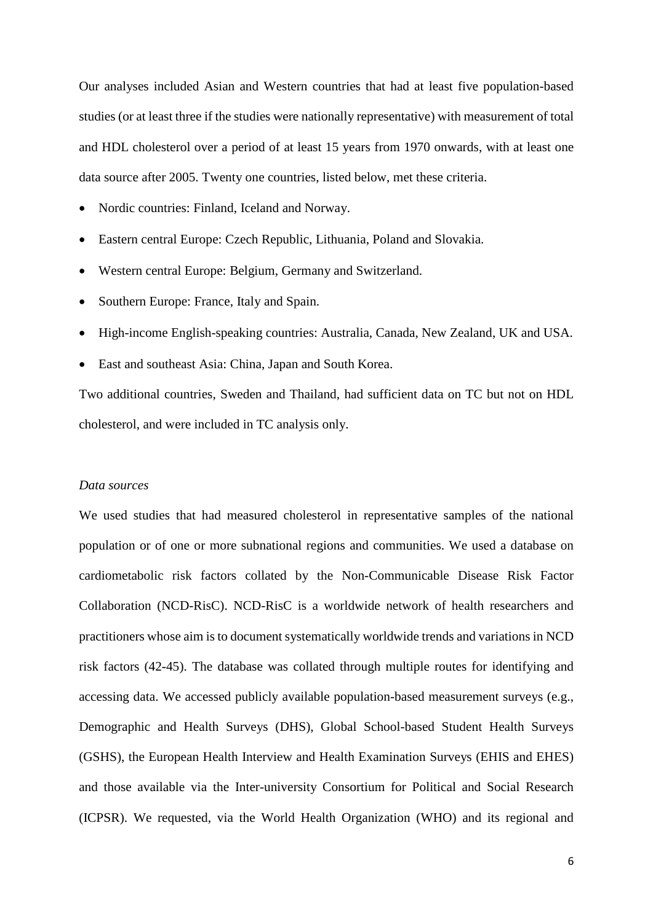Our analyses included Asian and Western countries that had at least five population-based studies (or at least three if the studies were nationally representative) with measurement of total and HDL cholesterol over a period of at least 15 years from 1970 onwards, with at least one data source after 2005. Twenty one countries, listed below, met these criteria.

- Nordic countries: Finland, Iceland and Norway.
- Eastern central Europe: Czech Republic, Lithuania, Poland and Slovakia.
- Western central Europe: Belgium, Germany and Switzerland.
- Southern Europe: France, Italy and Spain.
- High-income English-speaking countries: Australia, Canada, New Zealand, UK and USA.
- East and southeast Asia: China, Japan and South Korea.

Two additional countries, Sweden and Thailand, had sufficient data on TC but not on HDL cholesterol, and were included in TC analysis only.

#### *Data sources*

We used studies that had measured cholesterol in representative samples of the national population or of one or more subnational regions and communities. We used a database on cardiometabolic risk factors collated by the Non-Communicable Disease Risk Factor Collaboration (NCD-RisC). NCD-RisC is a worldwide network of health researchers and practitioners whose aim is to document systematically worldwide trends and variations in NCD risk factors (42-45). The database was collated through multiple routes for identifying and accessing data. We accessed publicly available population-based measurement surveys (e.g., Demographic and Health Surveys (DHS), Global School-based Student Health Surveys (GSHS), the European Health Interview and Health Examination Surveys (EHIS and EHES) and those available via the Inter-university Consortium for Political and Social Research (ICPSR). We requested, via the World Health Organization (WHO) and its regional and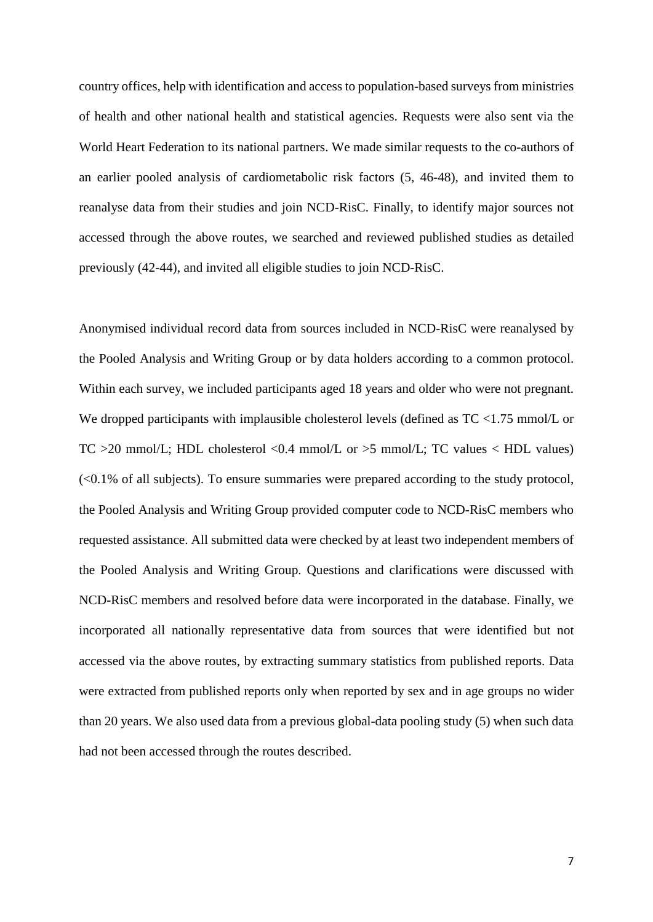country offices, help with identification and access to population-based surveys from ministries of health and other national health and statistical agencies. Requests were also sent via the World Heart Federation to its national partners. We made similar requests to the co-authors of an earlier pooled analysis of cardiometabolic risk factors (5, 46-48), and invited them to reanalyse data from their studies and join NCD-RisC. Finally, to identify major sources not accessed through the above routes, we searched and reviewed published studies as detailed previously (42-44), and invited all eligible studies to join NCD-RisC.

Anonymised individual record data from sources included in NCD-RisC were reanalysed by the Pooled Analysis and Writing Group or by data holders according to a common protocol. Within each survey, we included participants aged 18 years and older who were not pregnant. We dropped participants with implausible cholesterol levels (defined as  $TC < 1.75$  mmol/L or TC  $>20$  mmol/L; HDL cholesterol  $< 0.4$  mmol/L or  $>5$  mmol/L; TC values  $<$  HDL values) (<0.1% of all subjects). To ensure summaries were prepared according to the study protocol, the Pooled Analysis and Writing Group provided computer code to NCD-RisC members who requested assistance. All submitted data were checked by at least two independent members of the Pooled Analysis and Writing Group. Questions and clarifications were discussed with NCD-RisC members and resolved before data were incorporated in the database. Finally, we incorporated all nationally representative data from sources that were identified but not accessed via the above routes, by extracting summary statistics from published reports. Data were extracted from published reports only when reported by sex and in age groups no wider than 20 years. We also used data from a previous global-data pooling study (5) when such data had not been accessed through the routes described.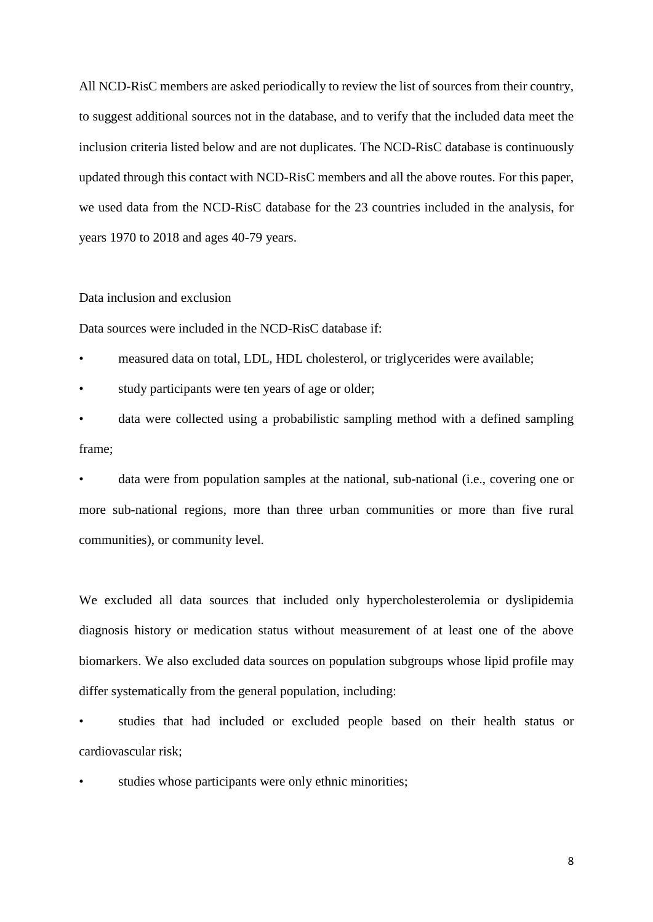All NCD-RisC members are asked periodically to review the list of sources from their country, to suggest additional sources not in the database, and to verify that the included data meet the inclusion criteria listed below and are not duplicates. The NCD-RisC database is continuously updated through this contact with NCD-RisC members and all the above routes. For this paper, we used data from the NCD-RisC database for the 23 countries included in the analysis, for years 1970 to 2018 and ages 40-79 years.

#### Data inclusion and exclusion

Data sources were included in the NCD-RisC database if:

• measured data on total, LDL, HDL cholesterol, or triglycerides were available;

study participants were ten years of age or older;

data were collected using a probabilistic sampling method with a defined sampling frame;

data were from population samples at the national, sub-national (i.e., covering one or more sub-national regions, more than three urban communities or more than five rural communities), or community level.

We excluded all data sources that included only hypercholesterolemia or dyslipidemia diagnosis history or medication status without measurement of at least one of the above biomarkers. We also excluded data sources on population subgroups whose lipid profile may differ systematically from the general population, including:

• studies that had included or excluded people based on their health status or cardiovascular risk;

studies whose participants were only ethnic minorities;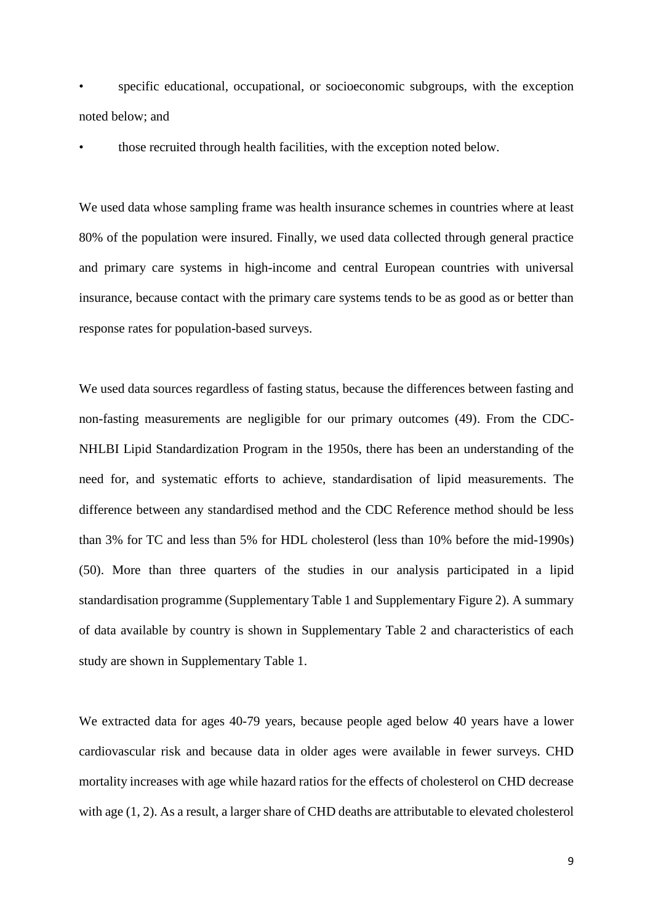specific educational, occupational, or socioeconomic subgroups, with the exception noted below; and

• those recruited through health facilities, with the exception noted below.

We used data whose sampling frame was health insurance schemes in countries where at least 80% of the population were insured. Finally, we used data collected through general practice and primary care systems in high-income and central European countries with universal insurance, because contact with the primary care systems tends to be as good as or better than response rates for population-based surveys.

We used data sources regardless of fasting status, because the differences between fasting and non-fasting measurements are negligible for our primary outcomes (49). From the CDC-NHLBI Lipid Standardization Program in the 1950s, there has been an understanding of the need for, and systematic efforts to achieve, standardisation of lipid measurements. The difference between any standardised method and the CDC Reference method should be less than 3% for TC and less than 5% for HDL cholesterol (less than 10% before the mid-1990s) (50). More than three quarters of the studies in our analysis participated in a lipid standardisation programme (Supplementary Table 1 and Supplementary Figure 2). A summary of data available by country is shown in Supplementary Table 2 and characteristics of each study are shown in Supplementary Table 1.

We extracted data for ages 40-79 years, because people aged below 40 years have a lower cardiovascular risk and because data in older ages were available in fewer surveys. CHD mortality increases with age while hazard ratios for the effects of cholesterol on CHD decrease with age (1, 2). As a result, a larger share of CHD deaths are attributable to elevated cholesterol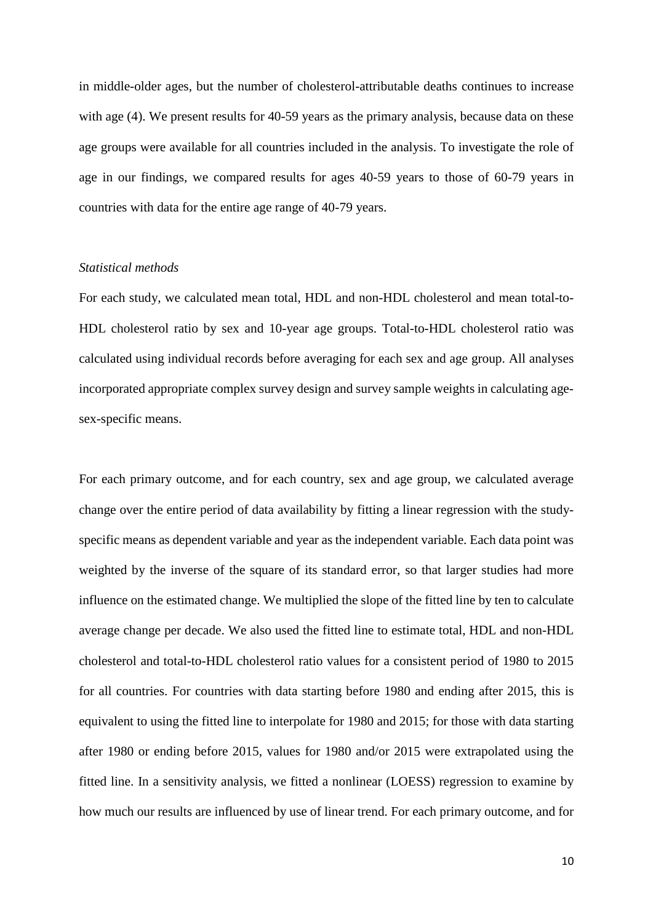in middle-older ages, but the number of cholesterol-attributable deaths continues to increase with age (4). We present results for 40-59 years as the primary analysis, because data on these age groups were available for all countries included in the analysis. To investigate the role of age in our findings, we compared results for ages 40-59 years to those of 60-79 years in countries with data for the entire age range of 40-79 years.

#### *Statistical methods*

For each study, we calculated mean total, HDL and non-HDL cholesterol and mean total-to-HDL cholesterol ratio by sex and 10-year age groups. Total-to-HDL cholesterol ratio was calculated using individual records before averaging for each sex and age group. All analyses incorporated appropriate complex survey design and survey sample weights in calculating agesex-specific means.

For each primary outcome, and for each country, sex and age group, we calculated average change over the entire period of data availability by fitting a linear regression with the studyspecific means as dependent variable and year as the independent variable. Each data point was weighted by the inverse of the square of its standard error, so that larger studies had more influence on the estimated change. We multiplied the slope of the fitted line by ten to calculate average change per decade. We also used the fitted line to estimate total, HDL and non-HDL cholesterol and total-to-HDL cholesterol ratio values for a consistent period of 1980 to 2015 for all countries. For countries with data starting before 1980 and ending after 2015, this is equivalent to using the fitted line to interpolate for 1980 and 2015; for those with data starting after 1980 or ending before 2015, values for 1980 and/or 2015 were extrapolated using the fitted line. In a sensitivity analysis, we fitted a nonlinear (LOESS) regression to examine by how much our results are influenced by use of linear trend. For each primary outcome, and for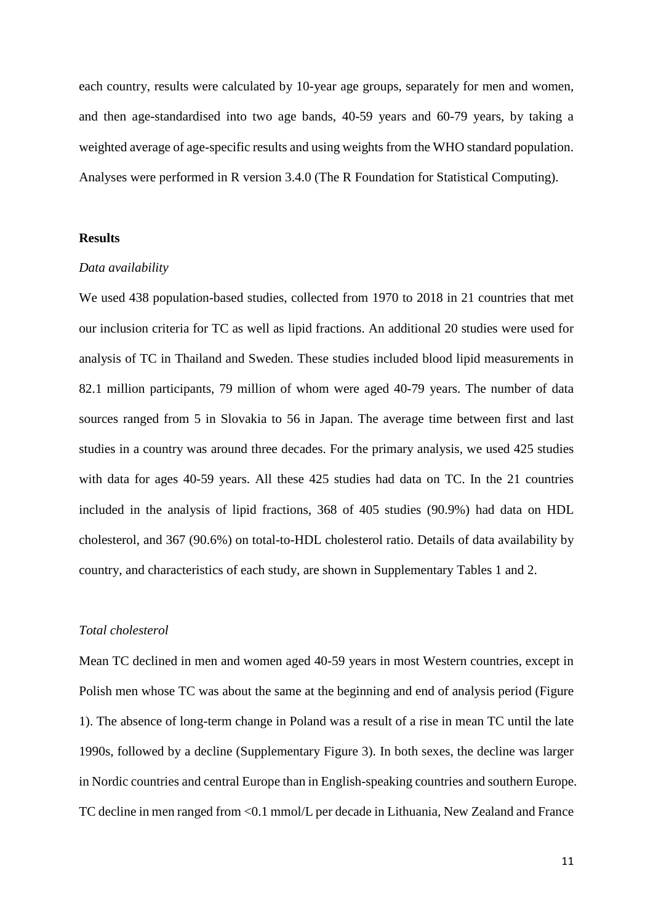each country, results were calculated by 10-year age groups, separately for men and women, and then age-standardised into two age bands, 40-59 years and 60-79 years, by taking a weighted average of age-specific results and using weights from the WHO standard population. Analyses were performed in R version 3.4.0 (The R Foundation for Statistical Computing).

## **Results**

#### *Data availability*

We used 438 population-based studies, collected from 1970 to 2018 in 21 countries that met our inclusion criteria for TC as well as lipid fractions. An additional 20 studies were used for analysis of TC in Thailand and Sweden. These studies included blood lipid measurements in 82.1 million participants, 79 million of whom were aged 40-79 years. The number of data sources ranged from 5 in Slovakia to 56 in Japan. The average time between first and last studies in a country was around three decades. For the primary analysis, we used 425 studies with data for ages 40-59 years. All these 425 studies had data on TC. In the 21 countries included in the analysis of lipid fractions, 368 of 405 studies (90.9%) had data on HDL cholesterol, and 367 (90.6%) on total-to-HDL cholesterol ratio. Details of data availability by country, and characteristics of each study, are shown in Supplementary Tables 1 and 2.

#### *Total cholesterol*

Mean TC declined in men and women aged 40-59 years in most Western countries, except in Polish men whose TC was about the same at the beginning and end of analysis period (Figure 1). The absence of long-term change in Poland was a result of a rise in mean TC until the late 1990s, followed by a decline (Supplementary Figure 3). In both sexes, the decline was larger in Nordic countries and central Europe than in English-speaking countries and southern Europe. TC decline in men ranged from <0.1 mmol/L per decade in Lithuania, New Zealand and France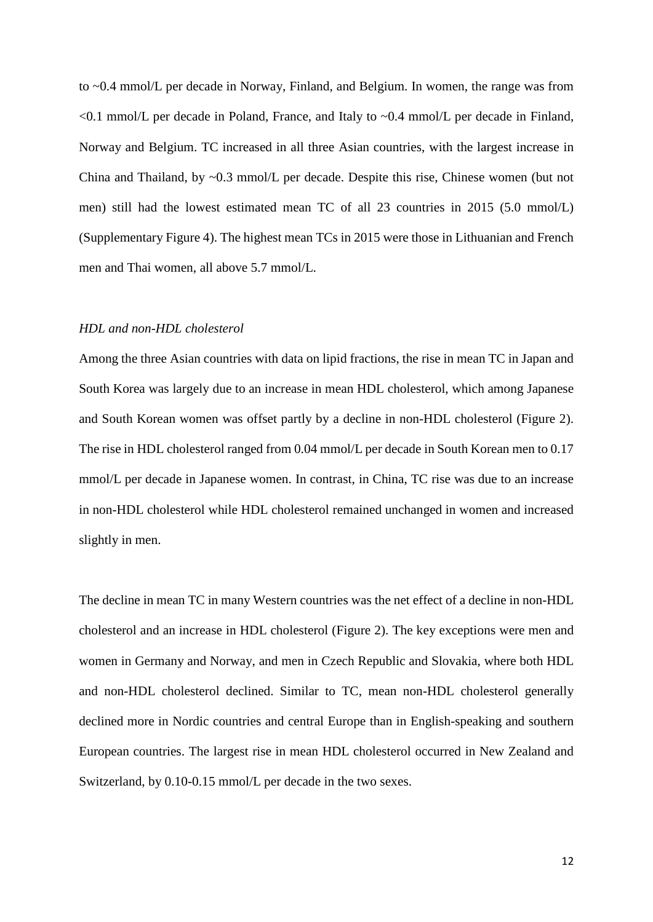to ~0.4 mmol/L per decade in Norway, Finland, and Belgium. In women, the range was from  $\leq 0.1$  mmol/L per decade in Poland, France, and Italy to  $\sim 0.4$  mmol/L per decade in Finland, Norway and Belgium. TC increased in all three Asian countries, with the largest increase in China and Thailand, by  $\sim 0.3$  mmol/L per decade. Despite this rise, Chinese women (but not men) still had the lowest estimated mean TC of all 23 countries in 2015 (5.0 mmol/L) (Supplementary Figure 4). The highest mean TCs in 2015 were those in Lithuanian and French men and Thai women, all above 5.7 mmol/L.

#### *HDL and non-HDL cholesterol*

Among the three Asian countries with data on lipid fractions, the rise in mean TC in Japan and South Korea was largely due to an increase in mean HDL cholesterol, which among Japanese and South Korean women was offset partly by a decline in non-HDL cholesterol (Figure 2). The rise in HDL cholesterol ranged from 0.04 mmol/L per decade in South Korean men to 0.17 mmol/L per decade in Japanese women. In contrast, in China, TC rise was due to an increase in non-HDL cholesterol while HDL cholesterol remained unchanged in women and increased slightly in men.

The decline in mean TC in many Western countries was the net effect of a decline in non-HDL cholesterol and an increase in HDL cholesterol (Figure 2). The key exceptions were men and women in Germany and Norway, and men in Czech Republic and Slovakia, where both HDL and non-HDL cholesterol declined. Similar to TC, mean non-HDL cholesterol generally declined more in Nordic countries and central Europe than in English-speaking and southern European countries. The largest rise in mean HDL cholesterol occurred in New Zealand and Switzerland, by 0.10-0.15 mmol/L per decade in the two sexes.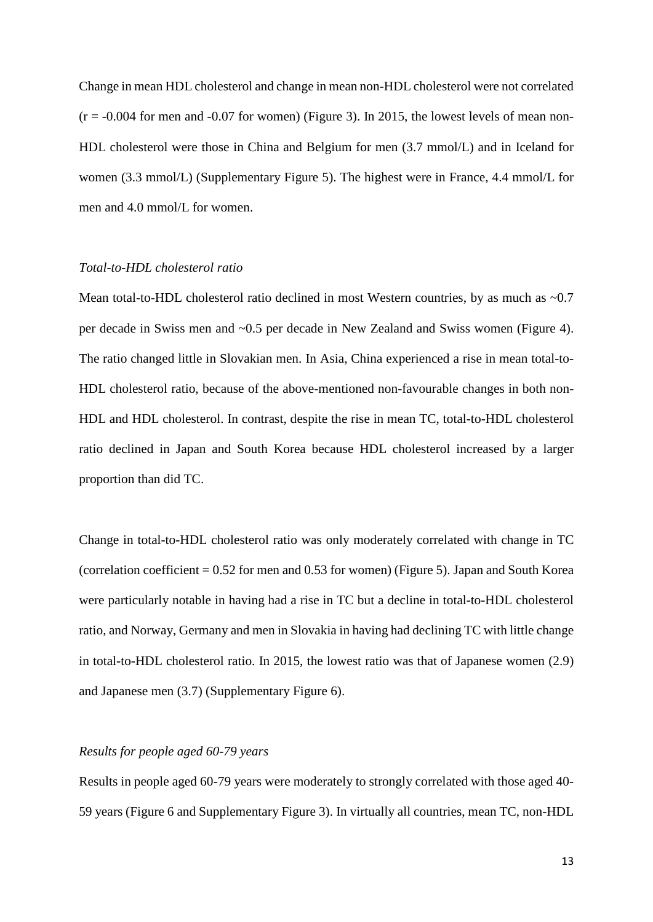Change in mean HDL cholesterol and change in mean non-HDL cholesterol were not correlated  $(r = -0.004$  for men and  $-0.07$  for women) (Figure 3). In 2015, the lowest levels of mean non-HDL cholesterol were those in China and Belgium for men (3.7 mmol/L) and in Iceland for women (3.3 mmol/L) (Supplementary Figure 5). The highest were in France, 4.4 mmol/L for men and 4.0 mmol/L for women.

#### *Total-to-HDL cholesterol ratio*

Mean total-to-HDL cholesterol ratio declined in most Western countries, by as much as ~0.7 per decade in Swiss men and ~0.5 per decade in New Zealand and Swiss women (Figure 4). The ratio changed little in Slovakian men. In Asia, China experienced a rise in mean total-to-HDL cholesterol ratio, because of the above-mentioned non-favourable changes in both non-HDL and HDL cholesterol. In contrast, despite the rise in mean TC, total-to-HDL cholesterol ratio declined in Japan and South Korea because HDL cholesterol increased by a larger proportion than did TC.

Change in total-to-HDL cholesterol ratio was only moderately correlated with change in TC (correlation coefficient  $= 0.52$  for men and 0.53 for women) (Figure 5). Japan and South Korea were particularly notable in having had a rise in TC but a decline in total-to-HDL cholesterol ratio, and Norway, Germany and men in Slovakia in having had declining TC with little change in total-to-HDL cholesterol ratio. In 2015, the lowest ratio was that of Japanese women (2.9) and Japanese men (3.7) (Supplementary Figure 6).

## *Results for people aged 60-79 years*

Results in people aged 60-79 years were moderately to strongly correlated with those aged 40- 59 years (Figure 6 and Supplementary Figure 3). In virtually all countries, mean TC, non-HDL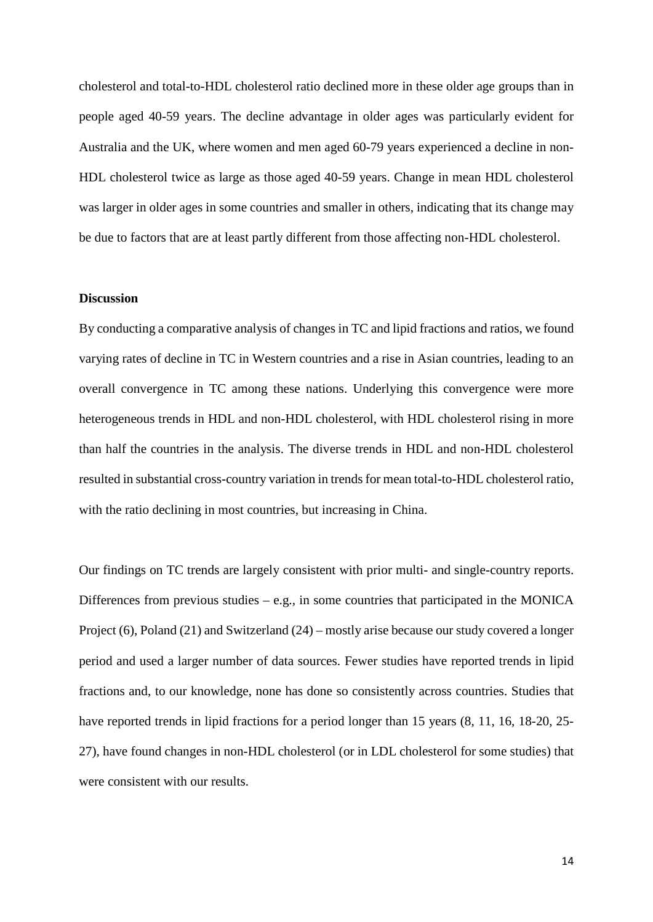cholesterol and total-to-HDL cholesterol ratio declined more in these older age groups than in people aged 40-59 years. The decline advantage in older ages was particularly evident for Australia and the UK, where women and men aged 60-79 years experienced a decline in non-HDL cholesterol twice as large as those aged 40-59 years. Change in mean HDL cholesterol was larger in older ages in some countries and smaller in others, indicating that its change may be due to factors that are at least partly different from those affecting non-HDL cholesterol.

#### **Discussion**

By conducting a comparative analysis of changes in TC and lipid fractions and ratios, we found varying rates of decline in TC in Western countries and a rise in Asian countries, leading to an overall convergence in TC among these nations. Underlying this convergence were more heterogeneous trends in HDL and non-HDL cholesterol, with HDL cholesterol rising in more than half the countries in the analysis. The diverse trends in HDL and non-HDL cholesterol resulted in substantial cross-country variation in trends for mean total-to-HDL cholesterol ratio, with the ratio declining in most countries, but increasing in China.

Our findings on TC trends are largely consistent with prior multi- and single-country reports. Differences from previous studies – e.g., in some countries that participated in the MONICA Project (6), Poland (21) and Switzerland (24) – mostly arise because our study covered a longer period and used a larger number of data sources. Fewer studies have reported trends in lipid fractions and, to our knowledge, none has done so consistently across countries. Studies that have reported trends in lipid fractions for a period longer than 15 years  $(8, 11, 16, 18-20, 25-$ 27), have found changes in non-HDL cholesterol (or in LDL cholesterol for some studies) that were consistent with our results.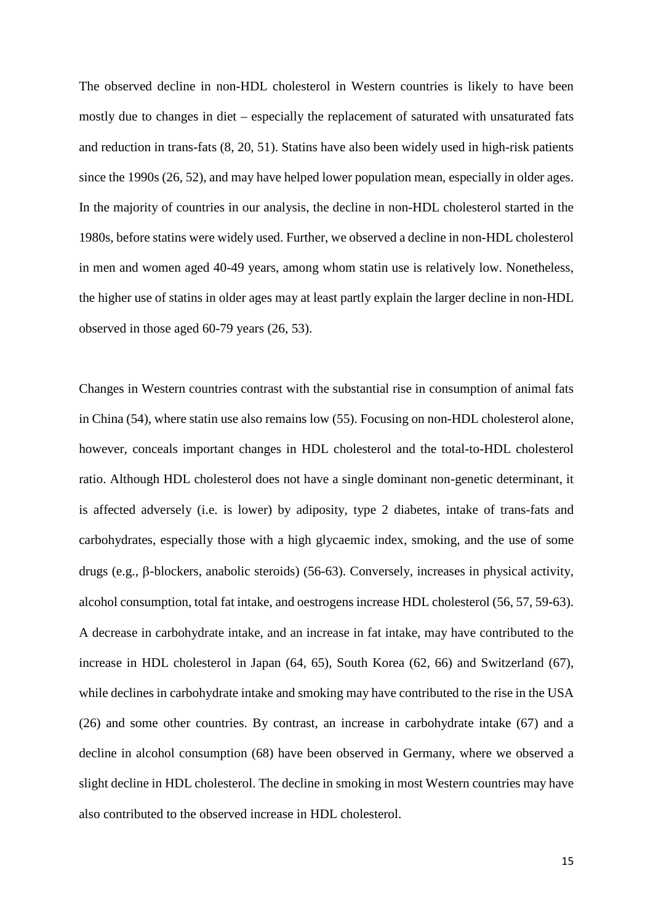The observed decline in non-HDL cholesterol in Western countries is likely to have been mostly due to changes in diet – especially the replacement of saturated with unsaturated fats and reduction in trans-fats (8, 20, 51). Statins have also been widely used in high-risk patients since the 1990s (26, 52), and may have helped lower population mean, especially in older ages. In the majority of countries in our analysis, the decline in non-HDL cholesterol started in the 1980s, before statins were widely used. Further, we observed a decline in non-HDL cholesterol in men and women aged 40-49 years, among whom statin use is relatively low. Nonetheless, the higher use of statins in older ages may at least partly explain the larger decline in non-HDL observed in those aged 60-79 years (26, 53).

Changes in Western countries contrast with the substantial rise in consumption of animal fats in China (54), where statin use also remains low (55). Focusing on non-HDL cholesterol alone, however, conceals important changes in HDL cholesterol and the total-to-HDL cholesterol ratio. Although HDL cholesterol does not have a single dominant non-genetic determinant, it is affected adversely (i.e. is lower) by adiposity, type 2 diabetes, intake of trans-fats and carbohydrates, especially those with a high glycaemic index, smoking, and the use of some drugs (e.g., β-blockers, anabolic steroids) (56-63). Conversely, increases in physical activity, alcohol consumption, total fat intake, and oestrogens increase HDL cholesterol (56, 57, 59-63). A decrease in carbohydrate intake, and an increase in fat intake, may have contributed to the increase in HDL cholesterol in Japan (64, 65), South Korea (62, 66) and Switzerland (67), while declines in carbohydrate intake and smoking may have contributed to the rise in the USA (26) and some other countries. By contrast, an increase in carbohydrate intake (67) and a decline in alcohol consumption (68) have been observed in Germany, where we observed a slight decline in HDL cholesterol. The decline in smoking in most Western countries may have also contributed to the observed increase in HDL cholesterol.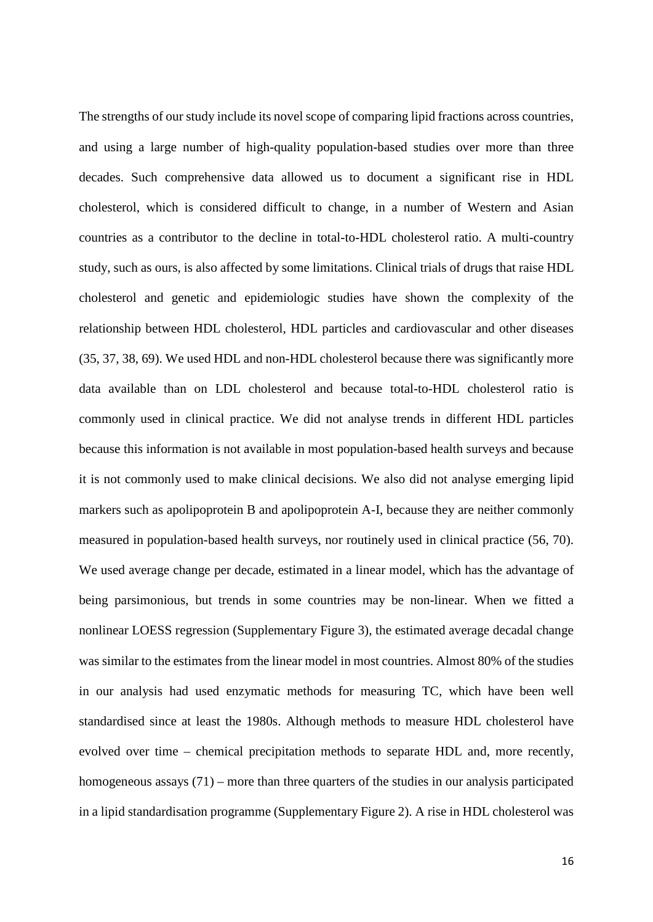The strengths of our study include its novel scope of comparing lipid fractions across countries, and using a large number of high-quality population-based studies over more than three decades. Such comprehensive data allowed us to document a significant rise in HDL cholesterol, which is considered difficult to change, in a number of Western and Asian countries as a contributor to the decline in total-to-HDL cholesterol ratio. A multi-country study, such as ours, is also affected by some limitations. Clinical trials of drugs that raise HDL cholesterol and genetic and epidemiologic studies have shown the complexity of the relationship between HDL cholesterol, HDL particles and cardiovascular and other diseases (35, 37, 38, 69). We used HDL and non-HDL cholesterol because there was significantly more data available than on LDL cholesterol and because total-to-HDL cholesterol ratio is commonly used in clinical practice. We did not analyse trends in different HDL particles because this information is not available in most population-based health surveys and because it is not commonly used to make clinical decisions. We also did not analyse emerging lipid markers such as apolipoprotein B and apolipoprotein A-I, because they are neither commonly measured in population-based health surveys, nor routinely used in clinical practice (56, 70). We used average change per decade, estimated in a linear model, which has the advantage of being parsimonious, but trends in some countries may be non-linear. When we fitted a nonlinear LOESS regression (Supplementary Figure 3), the estimated average decadal change was similar to the estimates from the linear model in most countries. Almost 80% of the studies in our analysis had used enzymatic methods for measuring TC, which have been well standardised since at least the 1980s. Although methods to measure HDL cholesterol have evolved over time – chemical precipitation methods to separate HDL and, more recently, homogeneous assays (71) – more than three quarters of the studies in our analysis participated in a lipid standardisation programme (Supplementary Figure 2). A rise in HDL cholesterol was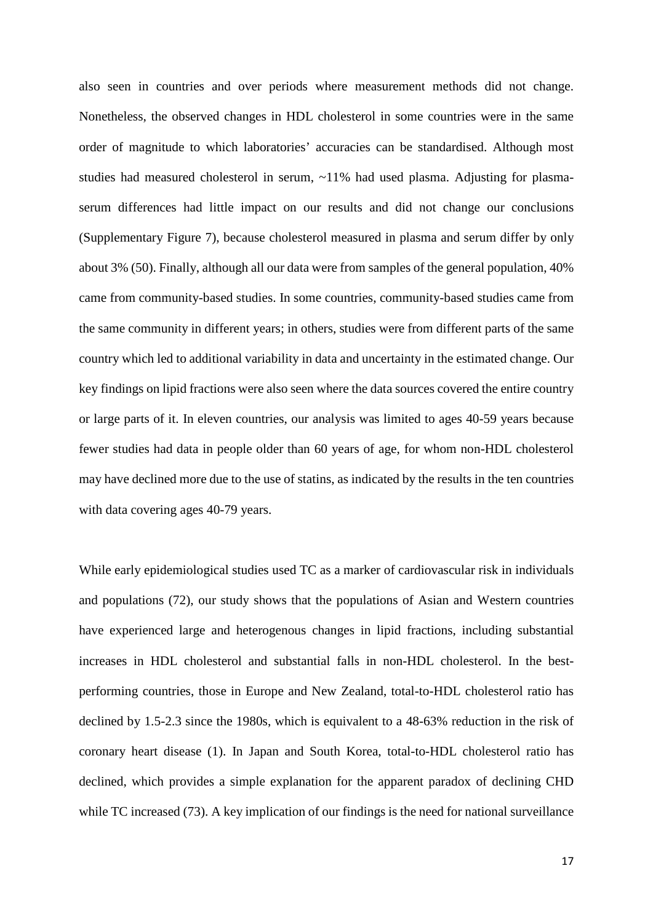also seen in countries and over periods where measurement methods did not change. Nonetheless, the observed changes in HDL cholesterol in some countries were in the same order of magnitude to which laboratories' accuracies can be standardised. Although most studies had measured cholesterol in serum, ~11% had used plasma. Adjusting for plasmaserum differences had little impact on our results and did not change our conclusions (Supplementary Figure 7), because cholesterol measured in plasma and serum differ by only about 3% (50). Finally, although all our data were from samples of the general population, 40% came from community-based studies. In some countries, community-based studies came from the same community in different years; in others, studies were from different parts of the same country which led to additional variability in data and uncertainty in the estimated change. Our key findings on lipid fractions were also seen where the data sources covered the entire country or large parts of it. In eleven countries, our analysis was limited to ages 40-59 years because fewer studies had data in people older than 60 years of age, for whom non-HDL cholesterol may have declined more due to the use of statins, as indicated by the results in the ten countries with data covering ages 40-79 years.

While early epidemiological studies used TC as a marker of cardiovascular risk in individuals and populations (72), our study shows that the populations of Asian and Western countries have experienced large and heterogenous changes in lipid fractions, including substantial increases in HDL cholesterol and substantial falls in non-HDL cholesterol. In the bestperforming countries, those in Europe and New Zealand, total-to-HDL cholesterol ratio has declined by 1.5-2.3 since the 1980s, which is equivalent to a 48-63% reduction in the risk of coronary heart disease (1). In Japan and South Korea, total-to-HDL cholesterol ratio has declined, which provides a simple explanation for the apparent paradox of declining CHD while TC increased (73). A key implication of our findings is the need for national surveillance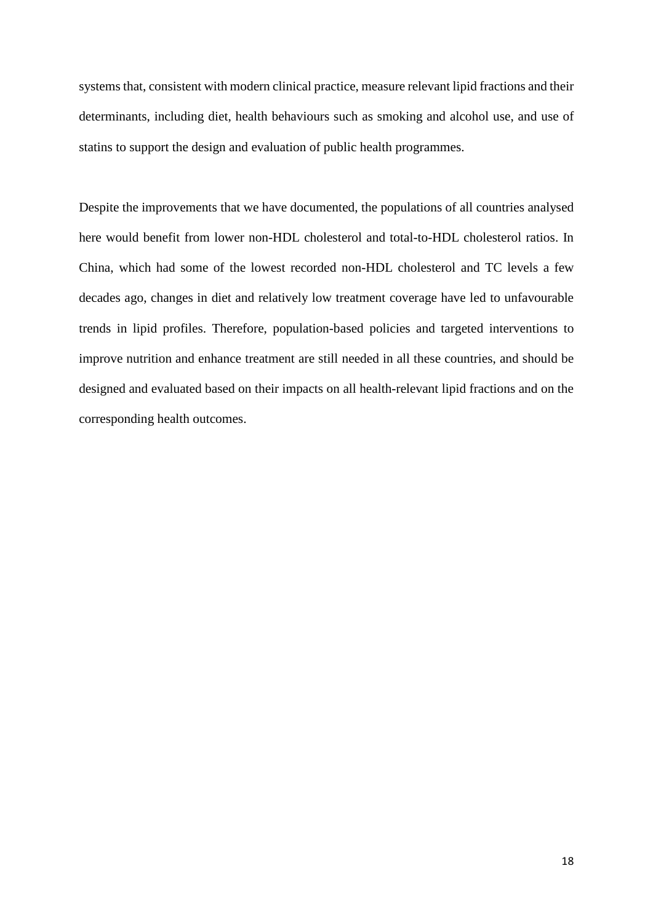systems that, consistent with modern clinical practice, measure relevant lipid fractions and their determinants, including diet, health behaviours such as smoking and alcohol use, and use of statins to support the design and evaluation of public health programmes.

Despite the improvements that we have documented, the populations of all countries analysed here would benefit from lower non-HDL cholesterol and total-to-HDL cholesterol ratios. In China, which had some of the lowest recorded non-HDL cholesterol and TC levels a few decades ago, changes in diet and relatively low treatment coverage have led to unfavourable trends in lipid profiles. Therefore, population-based policies and targeted interventions to improve nutrition and enhance treatment are still needed in all these countries, and should be designed and evaluated based on their impacts on all health-relevant lipid fractions and on the corresponding health outcomes.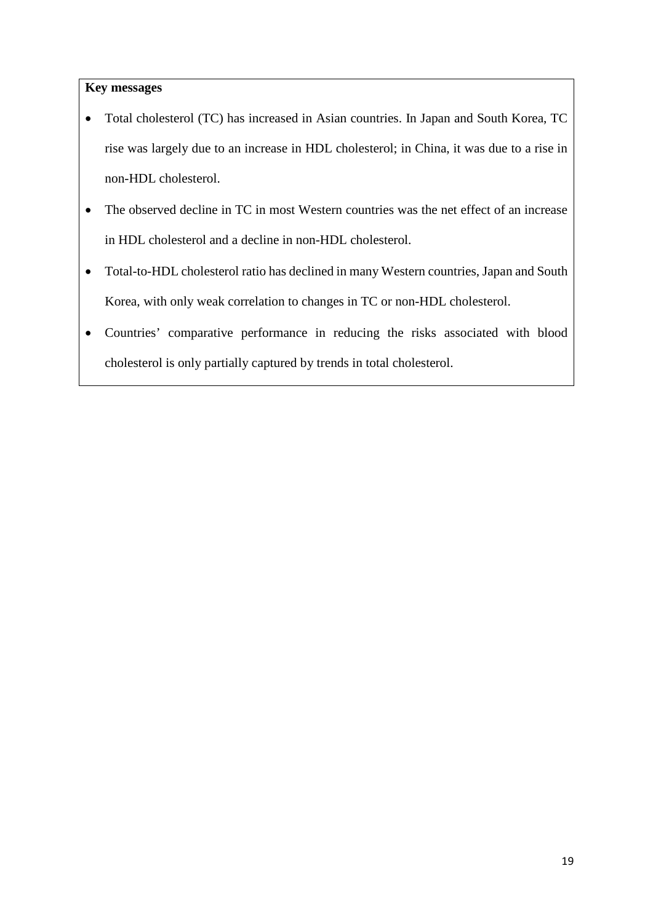## **Key messages**

- Total cholesterol (TC) has increased in Asian countries. In Japan and South Korea, TC rise was largely due to an increase in HDL cholesterol; in China, it was due to a rise in non-HDL cholesterol.
- The observed decline in TC in most Western countries was the net effect of an increase in HDL cholesterol and a decline in non-HDL cholesterol.
- Total-to-HDL cholesterol ratio has declined in many Western countries, Japan and South Korea, with only weak correlation to changes in TC or non-HDL cholesterol.
- Countries' comparative performance in reducing the risks associated with blood cholesterol is only partially captured by trends in total cholesterol.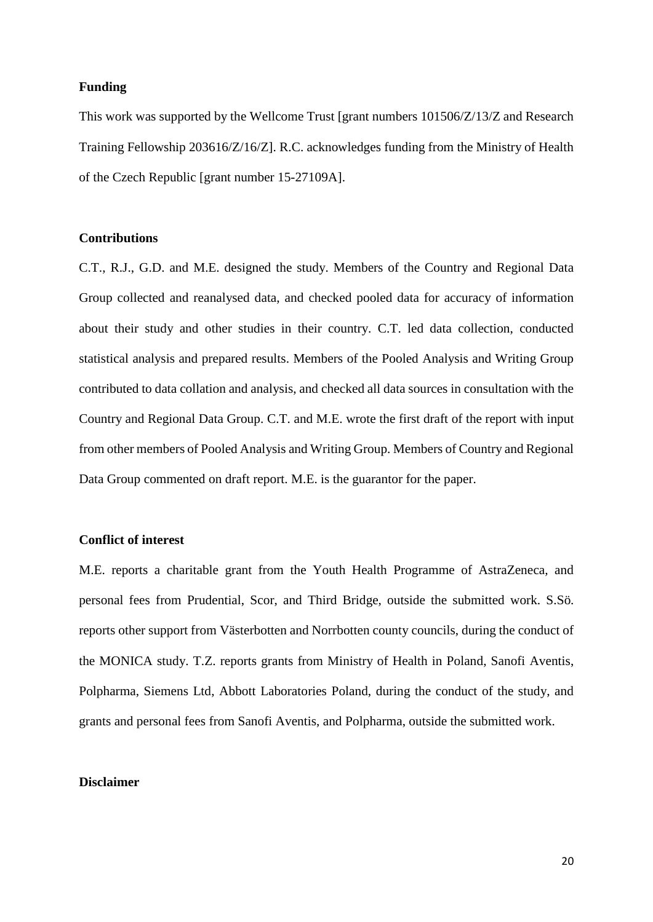#### **Funding**

This work was supported by the Wellcome Trust [grant numbers 101506/Z/13/Z and Research Training Fellowship 203616/Z/16/Z]. R.C. acknowledges funding from the Ministry of Health of the Czech Republic [grant number 15-27109A].

### **Contributions**

C.T., R.J., G.D. and M.E. designed the study. Members of the Country and Regional Data Group collected and reanalysed data, and checked pooled data for accuracy of information about their study and other studies in their country. C.T. led data collection, conducted statistical analysis and prepared results. Members of the Pooled Analysis and Writing Group contributed to data collation and analysis, and checked all data sources in consultation with the Country and Regional Data Group. C.T. and M.E. wrote the first draft of the report with input from other members of Pooled Analysis and Writing Group. Members of Country and Regional Data Group commented on draft report. M.E. is the guarantor for the paper.

#### **Conflict of interest**

M.E. reports a charitable grant from the Youth Health Programme of AstraZeneca, and personal fees from Prudential, Scor, and Third Bridge, outside the submitted work. S.Sö. reports other support from Västerbotten and Norrbotten county councils, during the conduct of the MONICA study. T.Z. reports grants from Ministry of Health in Poland, Sanofi Aventis, Polpharma, Siemens Ltd, Abbott Laboratories Poland, during the conduct of the study, and grants and personal fees from Sanofi Aventis, and Polpharma, outside the submitted work.

#### **Disclaimer**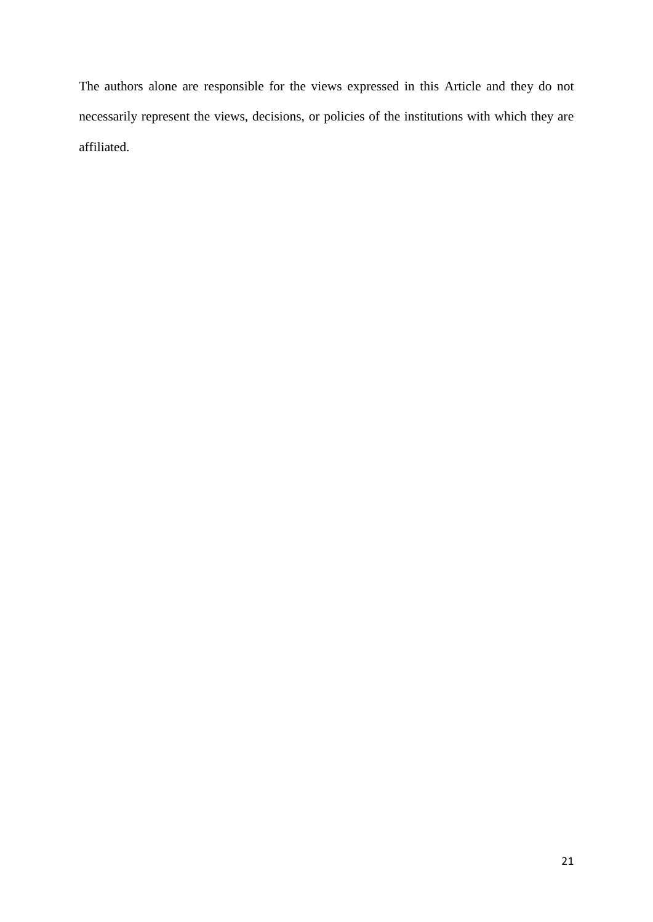The authors alone are responsible for the views expressed in this Article and they do not necessarily represent the views, decisions, or policies of the institutions with which they are affiliated.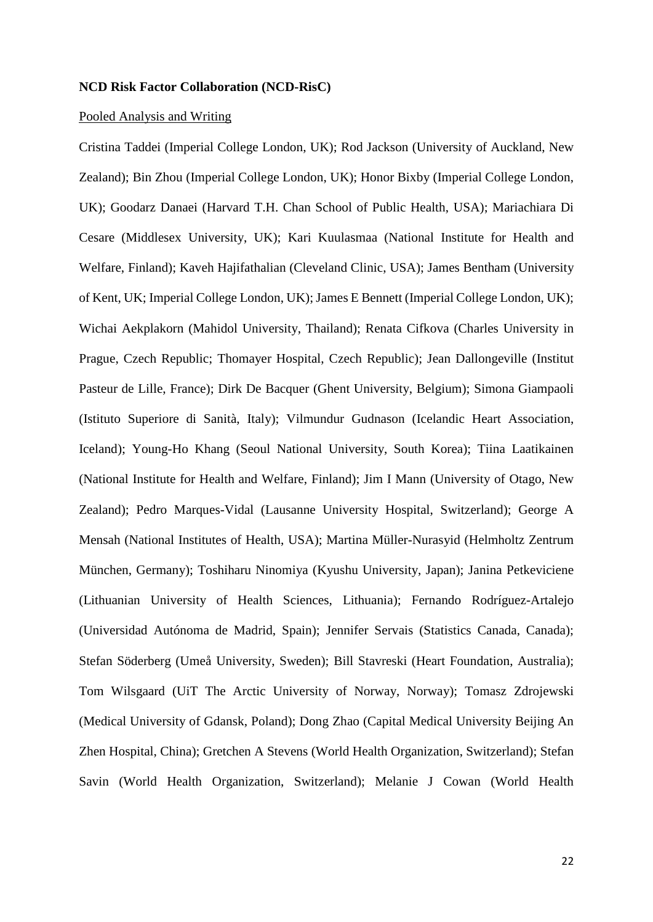#### **NCD Risk Factor Collaboration (NCD-RisC)**

#### Pooled Analysis and Writing

Cristina Taddei (Imperial College London, UK); Rod Jackson (University of Auckland, New Zealand); Bin Zhou (Imperial College London, UK); Honor Bixby (Imperial College London, UK); Goodarz Danaei (Harvard T.H. Chan School of Public Health, USA); Mariachiara Di Cesare (Middlesex University, UK); Kari Kuulasmaa (National Institute for Health and Welfare, Finland); Kaveh Hajifathalian (Cleveland Clinic, USA); James Bentham (University of Kent, UK; Imperial College London, UK); James E Bennett (Imperial College London, UK); Wichai Aekplakorn (Mahidol University, Thailand); Renata Cifkova (Charles University in Prague, Czech Republic; Thomayer Hospital, Czech Republic); Jean Dallongeville (Institut Pasteur de Lille, France); Dirk De Bacquer (Ghent University, Belgium); Simona Giampaoli (Istituto Superiore di Sanità, Italy); Vilmundur Gudnason (Icelandic Heart Association, Iceland); Young-Ho Khang (Seoul National University, South Korea); Tiina Laatikainen (National Institute for Health and Welfare, Finland); Jim I Mann (University of Otago, New Zealand); Pedro Marques-Vidal (Lausanne University Hospital, Switzerland); George A Mensah (National Institutes of Health, USA); Martina Müller-Nurasyid (Helmholtz Zentrum München, Germany); Toshiharu Ninomiya (Kyushu University, Japan); Janina Petkeviciene (Lithuanian University of Health Sciences, Lithuania); Fernando Rodríguez-Artalejo (Universidad Autónoma de Madrid, Spain); Jennifer Servais (Statistics Canada, Canada); Stefan Söderberg (Umeå University, Sweden); Bill Stavreski (Heart Foundation, Australia); Tom Wilsgaard (UiT The Arctic University of Norway, Norway); Tomasz Zdrojewski (Medical University of Gdansk, Poland); Dong Zhao (Capital Medical University Beijing An Zhen Hospital, China); Gretchen A Stevens (World Health Organization, Switzerland); Stefan Savin (World Health Organization, Switzerland); Melanie J Cowan (World Health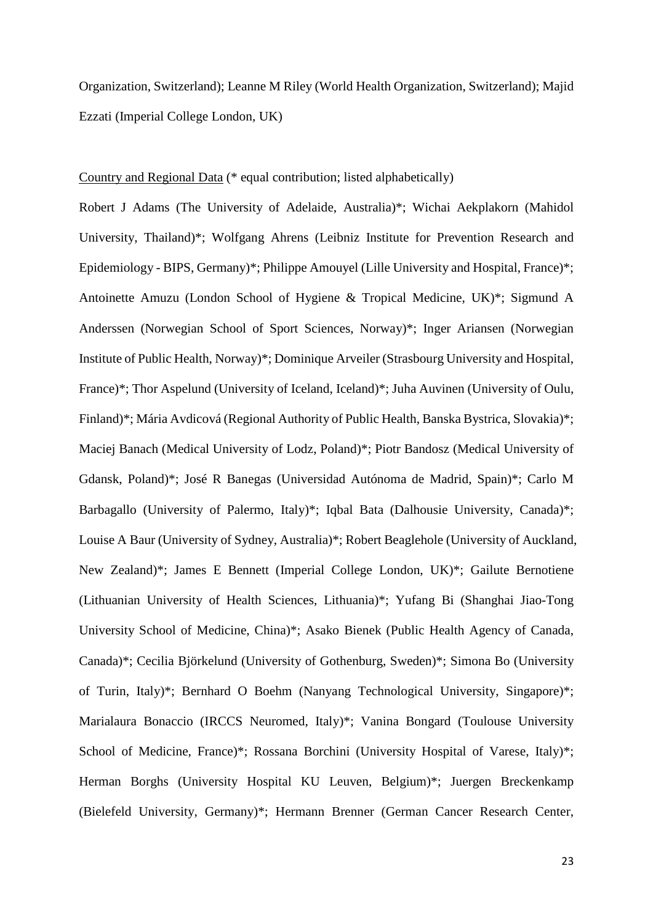Organization, Switzerland); Leanne M Riley (World Health Organization, Switzerland); Majid Ezzati (Imperial College London, UK)

## Country and Regional Data (\* equal contribution; listed alphabetically)

Robert J Adams (The University of Adelaide, Australia)\*; Wichai Aekplakorn (Mahidol University, Thailand)\*; Wolfgang Ahrens (Leibniz Institute for Prevention Research and Epidemiology - BIPS, Germany)\*; Philippe Amouyel (Lille University and Hospital, France)\*; Antoinette Amuzu (London School of Hygiene & Tropical Medicine, UK)\*; Sigmund A Anderssen (Norwegian School of Sport Sciences, Norway)\*; Inger Ariansen (Norwegian Institute of Public Health, Norway)\*; Dominique Arveiler (Strasbourg University and Hospital, France)\*; Thor Aspelund (University of Iceland, Iceland)\*; Juha Auvinen (University of Oulu, Finland)\*; Mária Avdicová (Regional Authority of Public Health, Banska Bystrica, Slovakia)\*; Maciej Banach (Medical University of Lodz, Poland)\*; Piotr Bandosz (Medical University of Gdansk, Poland)\*; José R Banegas (Universidad Autónoma de Madrid, Spain)\*; Carlo M Barbagallo (University of Palermo, Italy)\*; Iqbal Bata (Dalhousie University, Canada)\*; Louise A Baur (University of Sydney, Australia)\*; Robert Beaglehole (University of Auckland, New Zealand)\*; James E Bennett (Imperial College London, UK)\*; Gailute Bernotiene (Lithuanian University of Health Sciences, Lithuania)\*; Yufang Bi (Shanghai Jiao-Tong University School of Medicine, China)\*; Asako Bienek (Public Health Agency of Canada, Canada)\*; Cecilia Björkelund (University of Gothenburg, Sweden)\*; Simona Bo (University of Turin, Italy)\*; Bernhard O Boehm (Nanyang Technological University, Singapore)\*; Marialaura Bonaccio (IRCCS Neuromed, Italy)\*; Vanina Bongard (Toulouse University School of Medicine, France)\*; Rossana Borchini (University Hospital of Varese, Italy)\*; Herman Borghs (University Hospital KU Leuven, Belgium)\*; Juergen Breckenkamp (Bielefeld University, Germany)\*; Hermann Brenner (German Cancer Research Center,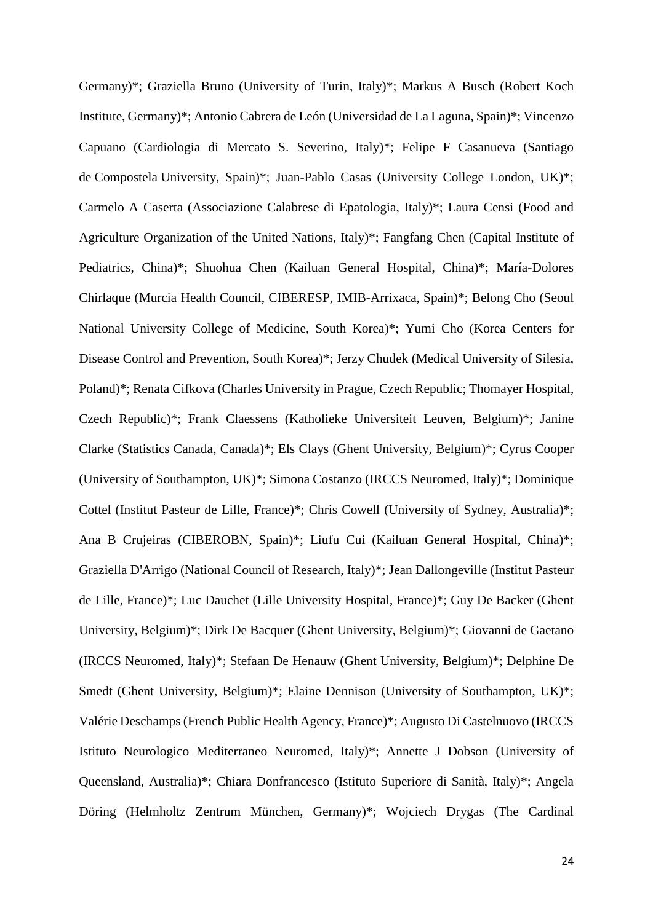Germany)\*; Graziella Bruno (University of Turin, Italy)\*; Markus A Busch (Robert Koch Institute, Germany)\*; Antonio Cabrera de León (Universidad de La Laguna, Spain)\*; Vincenzo Capuano (Cardiologia di Mercato S. Severino, Italy)\*; Felipe F Casanueva (Santiago de Compostela University, Spain)\*; Juan-Pablo Casas (University College London, UK)\*; Carmelo A Caserta (Associazione Calabrese di Epatologia, Italy)\*; Laura Censi (Food and Agriculture Organization of the United Nations, Italy)\*; Fangfang Chen (Capital Institute of Pediatrics, China)\*; Shuohua Chen (Kailuan General Hospital, China)\*; María-Dolores Chirlaque (Murcia Health Council, CIBERESP, IMIB-Arrixaca, Spain)\*; Belong Cho (Seoul National University College of Medicine, South Korea)\*; Yumi Cho (Korea Centers for Disease Control and Prevention, South Korea)\*; Jerzy Chudek (Medical University of Silesia, Poland)\*; Renata Cifkova (Charles University in Prague, Czech Republic; Thomayer Hospital, Czech Republic)\*; Frank Claessens (Katholieke Universiteit Leuven, Belgium)\*; Janine Clarke (Statistics Canada, Canada)\*; Els Clays (Ghent University, Belgium)\*; Cyrus Cooper (University of Southampton, UK)\*; Simona Costanzo (IRCCS Neuromed, Italy)\*; Dominique Cottel (Institut Pasteur de Lille, France)\*; Chris Cowell (University of Sydney, Australia)\*; Ana B Crujeiras (CIBEROBN, Spain)\*; Liufu Cui (Kailuan General Hospital, China)\*; Graziella D'Arrigo (National Council of Research, Italy)\*; Jean Dallongeville (Institut Pasteur de Lille, France)\*; Luc Dauchet (Lille University Hospital, France)\*; Guy De Backer (Ghent University, Belgium)\*; Dirk De Bacquer (Ghent University, Belgium)\*; Giovanni de Gaetano (IRCCS Neuromed, Italy)\*; Stefaan De Henauw (Ghent University, Belgium)\*; Delphine De Smedt (Ghent University, Belgium)\*; Elaine Dennison (University of Southampton, UK)\*; Valérie Deschamps (French Public Health Agency, France)\*; Augusto Di Castelnuovo (IRCCS Istituto Neurologico Mediterraneo Neuromed, Italy)\*; Annette J Dobson (University of Queensland, Australia)\*; Chiara Donfrancesco (Istituto Superiore di Sanità, Italy)\*; Angela Döring (Helmholtz Zentrum München, Germany)\*; Wojciech Drygas (The Cardinal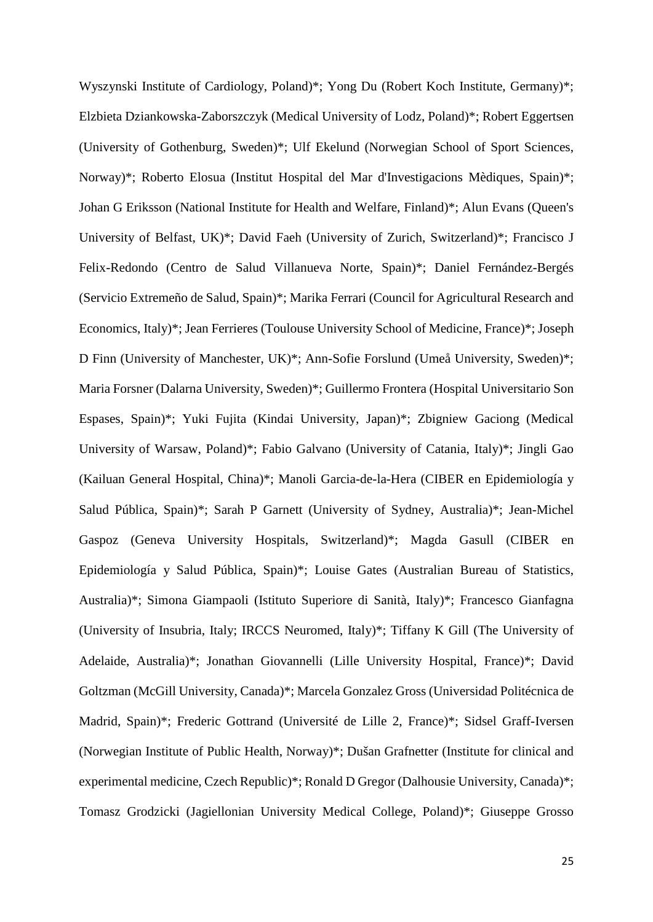Wyszynski Institute of Cardiology, Poland)\*; Yong Du (Robert Koch Institute, Germany)\*; Elzbieta Dziankowska-Zaborszczyk (Medical University of Lodz, Poland)\*; Robert Eggertsen (University of Gothenburg, Sweden)\*; Ulf Ekelund (Norwegian School of Sport Sciences, Norway)\*; Roberto Elosua (Institut Hospital del Mar d'Investigacions Mèdiques, Spain)\*; Johan G Eriksson (National Institute for Health and Welfare, Finland)\*; Alun Evans (Queen's University of Belfast, UK)\*; David Faeh (University of Zurich, Switzerland)\*; Francisco J Felix-Redondo (Centro de Salud Villanueva Norte, Spain)\*; Daniel Fernández-Bergés (Servicio Extremeño de Salud, Spain)\*; Marika Ferrari (Council for Agricultural Research and Economics, Italy)\*; Jean Ferrieres (Toulouse University School of Medicine, France)\*; Joseph D Finn (University of Manchester, UK)\*; Ann-Sofie Forslund (Umeå University, Sweden)\*; Maria Forsner (Dalarna University, Sweden)\*; Guillermo Frontera (Hospital Universitario Son Espases, Spain)\*; Yuki Fujita (Kindai University, Japan)\*; Zbigniew Gaciong (Medical University of Warsaw, Poland)\*; Fabio Galvano (University of Catania, Italy)\*; Jingli Gao (Kailuan General Hospital, China)\*; Manoli Garcia-de-la-Hera (CIBER en Epidemiología y Salud Pública, Spain)\*; Sarah P Garnett (University of Sydney, Australia)\*; Jean-Michel Gaspoz (Geneva University Hospitals, Switzerland)\*; Magda Gasull (CIBER en Epidemiología y Salud Pública, Spain)\*; Louise Gates (Australian Bureau of Statistics, Australia)\*; Simona Giampaoli (Istituto Superiore di Sanità, Italy)\*; Francesco Gianfagna (University of Insubria, Italy; IRCCS Neuromed, Italy)\*; Tiffany K Gill (The University of Adelaide, Australia)\*; Jonathan Giovannelli (Lille University Hospital, France)\*; David Goltzman (McGill University, Canada)\*; Marcela Gonzalez Gross (Universidad Politécnica de Madrid, Spain)\*; Frederic Gottrand (Université de Lille 2, France)\*; Sidsel Graff-Iversen (Norwegian Institute of Public Health, Norway)\*; Dušan Grafnetter (Institute for clinical and experimental medicine, Czech Republic)\*; Ronald D Gregor (Dalhousie University, Canada)\*; Tomasz Grodzicki (Jagiellonian University Medical College, Poland)\*; Giuseppe Grosso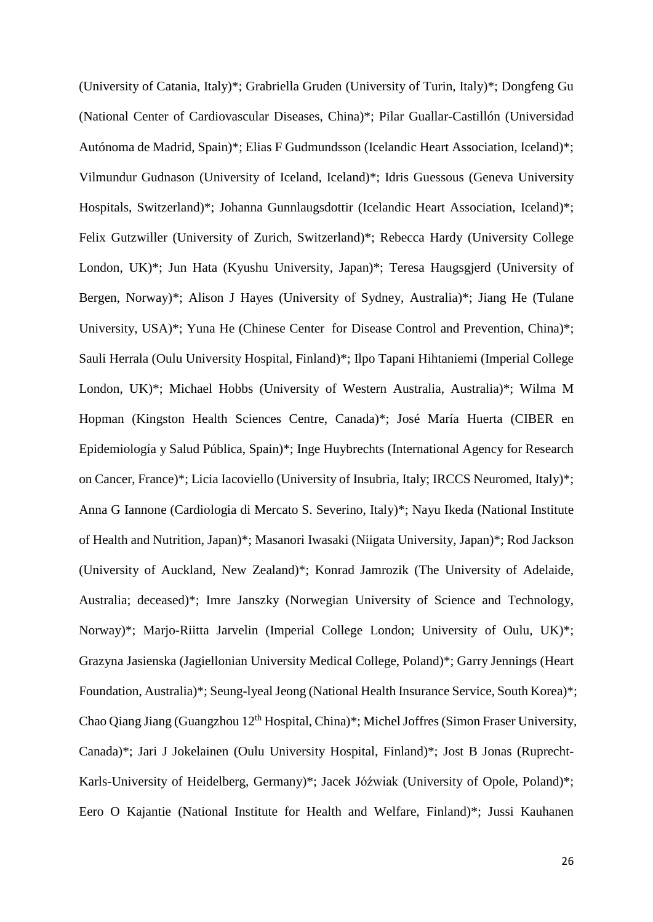(University of Catania, Italy)\*; Grabriella Gruden (University of Turin, Italy)\*; Dongfeng Gu (National Center of Cardiovascular Diseases, China)\*; Pilar Guallar-Castillón (Universidad Autónoma de Madrid, Spain)\*; Elias F Gudmundsson (Icelandic Heart Association, Iceland)\*; Vilmundur Gudnason (University of Iceland, Iceland)\*; Idris Guessous (Geneva University Hospitals, Switzerland)\*; Johanna Gunnlaugsdottir (Icelandic Heart Association, Iceland)\*; Felix Gutzwiller (University of Zurich, Switzerland)\*; Rebecca Hardy (University College London, UK)\*; Jun Hata (Kyushu University, Japan)\*; Teresa Haugsgjerd (University of Bergen, Norway)\*; Alison J Hayes (University of Sydney, Australia)\*; Jiang He (Tulane University, USA)\*; Yuna He (Chinese Center for Disease Control and Prevention, China)\*; Sauli Herrala (Oulu University Hospital, Finland)\*; Ilpo Tapani Hihtaniemi (Imperial College London, UK)\*; Michael Hobbs (University of Western Australia, Australia)\*; Wilma M Hopman (Kingston Health Sciences Centre, Canada)\*; José María Huerta (CIBER en Epidemiología y Salud Pública, Spain)\*; Inge Huybrechts (International Agency for Research on Cancer, France)\*; Licia Iacoviello (University of Insubria, Italy; IRCCS Neuromed, Italy)\*; Anna G Iannone (Cardiologia di Mercato S. Severino, Italy)\*; Nayu Ikeda (National Institute of Health and Nutrition, Japan)\*; Masanori Iwasaki (Niigata University, Japan)\*; Rod Jackson (University of Auckland, New Zealand)\*; Konrad Jamrozik (The University of Adelaide, Australia; deceased)\*; Imre Janszky (Norwegian University of Science and Technology, Norway)\*; Marjo-Riitta Jarvelin (Imperial College London; University of Oulu, UK)\*; Grazyna Jasienska (Jagiellonian University Medical College, Poland)\*; Garry Jennings (Heart Foundation, Australia)\*; Seung-lyeal Jeong (National Health Insurance Service, South Korea)\*; Chao Qiang Jiang (Guangzhou 12th Hospital, China)\*; Michel Joffres (Simon Fraser University, Canada)\*; Jari J Jokelainen (Oulu University Hospital, Finland)\*; Jost B Jonas (Ruprecht-Karls-University of Heidelberg, Germany)\*; Jacek Jóźwiak (University of Opole, Poland)\*; Eero O Kajantie (National Institute for Health and Welfare, Finland)\*; Jussi Kauhanen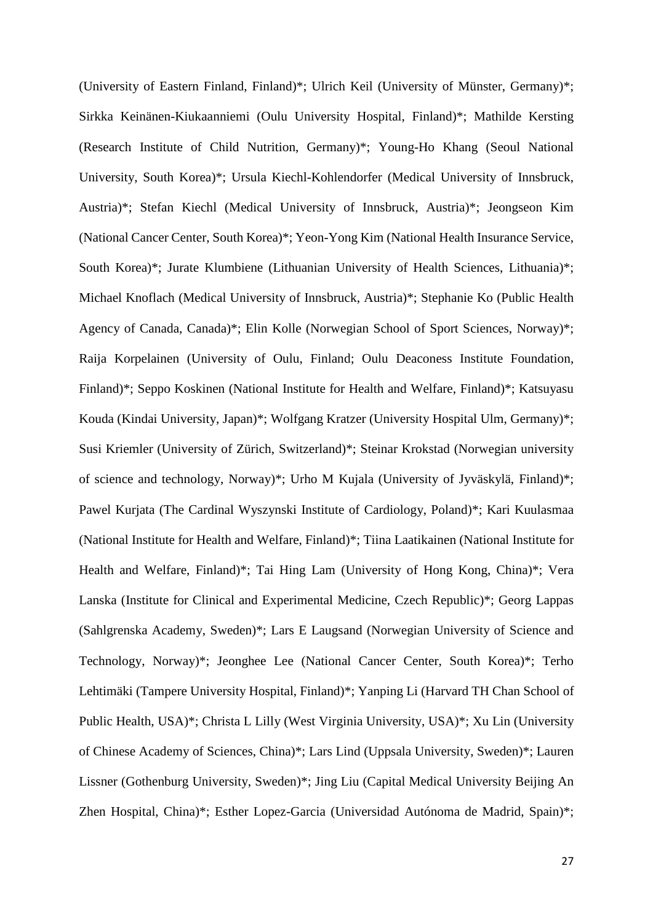(University of Eastern Finland, Finland)\*; Ulrich Keil (University of Münster, Germany)\*; Sirkka Keinänen-Kiukaanniemi (Oulu University Hospital, Finland)\*; Mathilde Kersting (Research Institute of Child Nutrition, Germany)\*; Young-Ho Khang (Seoul National University, South Korea)\*; Ursula Kiechl-Kohlendorfer (Medical University of Innsbruck, Austria)\*; Stefan Kiechl (Medical University of Innsbruck, Austria)\*; Jeongseon Kim (National Cancer Center, South Korea)\*; Yeon-Yong Kim (National Health Insurance Service, South Korea)\*; Jurate Klumbiene (Lithuanian University of Health Sciences, Lithuania)\*; Michael Knoflach (Medical University of Innsbruck, Austria)\*; Stephanie Ko (Public Health Agency of Canada, Canada)\*; Elin Kolle (Norwegian School of Sport Sciences, Norway)\*; Raija Korpelainen (University of Oulu, Finland; Oulu Deaconess Institute Foundation, Finland)\*; Seppo Koskinen (National Institute for Health and Welfare, Finland)\*; Katsuyasu Kouda (Kindai University, Japan)\*; Wolfgang Kratzer (University Hospital Ulm, Germany)\*; Susi Kriemler (University of Zürich, Switzerland)\*; Steinar Krokstad (Norwegian university of science and technology, Norway)\*; Urho M Kujala (University of Jyväskylä, Finland)\*; Pawel Kurjata (The Cardinal Wyszynski Institute of Cardiology, Poland)\*; Kari Kuulasmaa (National Institute for Health and Welfare, Finland)\*; Tiina Laatikainen (National Institute for Health and Welfare, Finland)\*; Tai Hing Lam (University of Hong Kong, China)\*; Vera Lanska (Institute for Clinical and Experimental Medicine, Czech Republic)\*; Georg Lappas (Sahlgrenska Academy, Sweden)\*; Lars E Laugsand (Norwegian University of Science and Technology, Norway)\*; Jeonghee Lee (National Cancer Center, South Korea)\*; Terho Lehtimäki (Tampere University Hospital, Finland)\*; Yanping Li (Harvard TH Chan School of Public Health, USA)\*; Christa L Lilly (West Virginia University, USA)\*; Xu Lin (University of Chinese Academy of Sciences, China)\*; Lars Lind (Uppsala University, Sweden)\*; Lauren Lissner (Gothenburg University, Sweden)\*; Jing Liu (Capital Medical University Beijing An Zhen Hospital, China)\*; Esther Lopez-Garcia (Universidad Autónoma de Madrid, Spain)\*;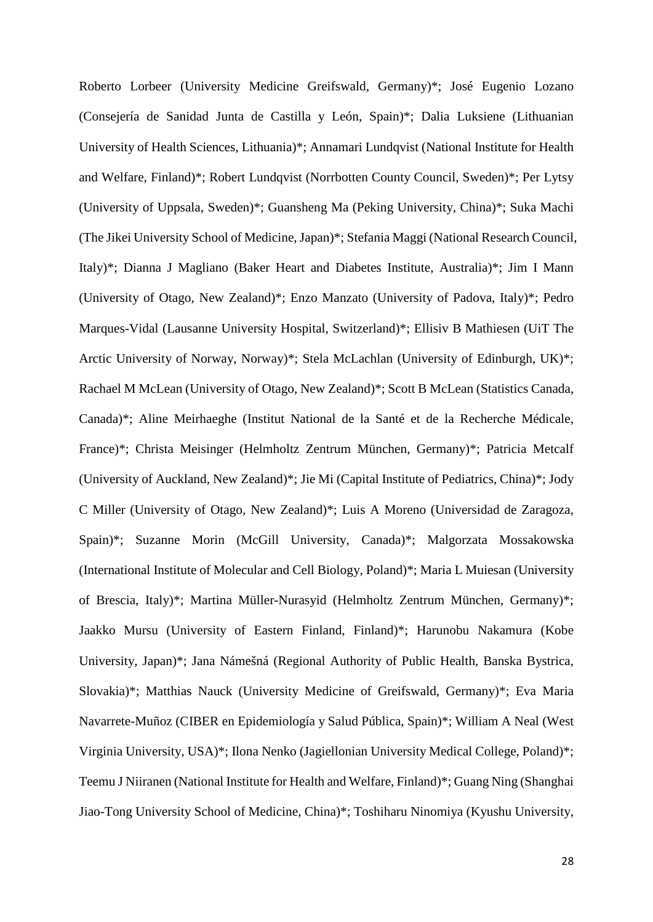Roberto Lorbeer (University Medicine Greifswald, Germany)\*; José Eugenio Lozano (Consejería de Sanidad Junta de Castilla y León, Spain)\*; Dalia Luksiene (Lithuanian University of Health Sciences, Lithuania)\*; Annamari Lundqvist (National Institute for Health and Welfare, Finland)\*; Robert Lundqvist (Norrbotten County Council, Sweden)\*; Per Lytsy (University of Uppsala, Sweden)\*; Guansheng Ma (Peking University, China)\*; Suka Machi (The Jikei University School of Medicine, Japan)\*; Stefania Maggi (National Research Council, Italy)\*; Dianna J Magliano (Baker Heart and Diabetes Institute, Australia)\*; Jim I Mann (University of Otago, New Zealand)\*; Enzo Manzato (University of Padova, Italy)\*; Pedro Marques-Vidal (Lausanne University Hospital, Switzerland)\*; Ellisiv B Mathiesen (UiT The Arctic University of Norway, Norway)\*; Stela McLachlan (University of Edinburgh, UK)\*; Rachael M McLean (University of Otago, New Zealand)\*; Scott B McLean (Statistics Canada, Canada)\*; Aline Meirhaeghe (Institut National de la Santé et de la Recherche Médicale, France)\*; Christa Meisinger (Helmholtz Zentrum München, Germany)\*; Patricia Metcalf (University of Auckland, New Zealand)\*; Jie Mi (Capital Institute of Pediatrics, China)\*; Jody C Miller (University of Otago, New Zealand)\*; Luis A Moreno (Universidad de Zaragoza, Spain)\*; Suzanne Morin (McGill University, Canada)\*; Malgorzata Mossakowska (International Institute of Molecular and Cell Biology, Poland)\*; Maria L Muiesan (University of Brescia, Italy)\*; Martina Müller-Nurasyid (Helmholtz Zentrum München, Germany)\*; Jaakko Mursu (University of Eastern Finland, Finland)\*; Harunobu Nakamura (Kobe University, Japan)\*; Jana Námešná (Regional Authority of Public Health, Banska Bystrica, Slovakia)\*; Matthias Nauck (University Medicine of Greifswald, Germany)\*; Eva Maria Navarrete-Muñoz (CIBER en Epidemiología y Salud Pública, Spain)\*; William A Neal (West Virginia University, USA)\*; Ilona Nenko (Jagiellonian University Medical College, Poland)\*; Teemu J Niiranen (National Institute for Health and Welfare, Finland)\*; Guang Ning (Shanghai Jiao-Tong University School of Medicine, China)\*; Toshiharu Ninomiya (Kyushu University,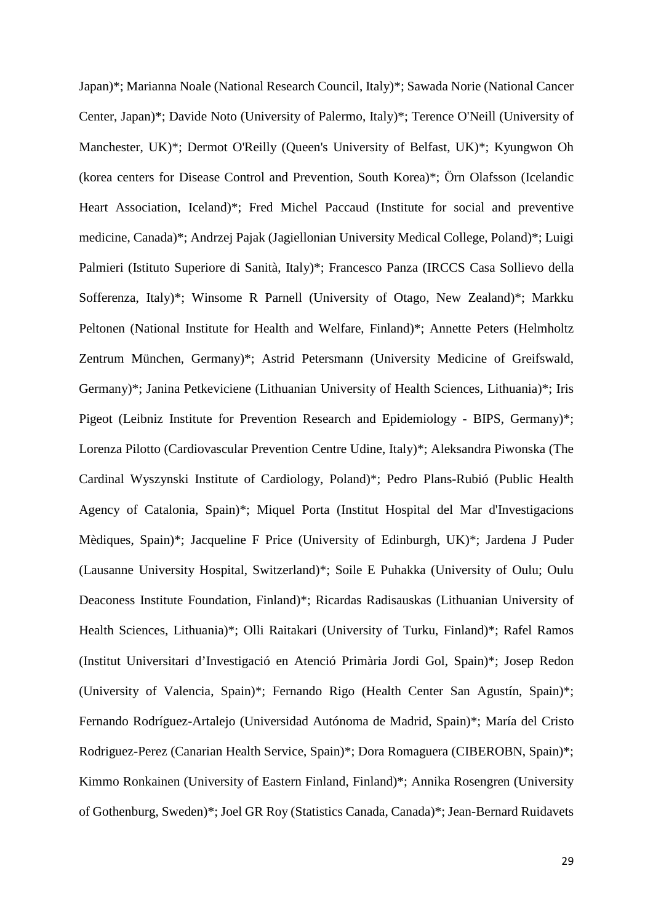Japan)\*; Marianna Noale (National Research Council, Italy)\*; Sawada Norie (National Cancer Center, Japan)\*; Davide Noto (University of Palermo, Italy)\*; Terence O'Neill (University of Manchester, UK)\*; Dermot O'Reilly (Queen's University of Belfast, UK)\*; Kyungwon Oh (korea centers for Disease Control and Prevention, South Korea)\*; Örn Olafsson (Icelandic Heart Association, Iceland)\*; Fred Michel Paccaud (Institute for social and preventive medicine, Canada)\*; Andrzej Pajak (Jagiellonian University Medical College, Poland)\*; Luigi Palmieri (Istituto Superiore di Sanità, Italy)\*; Francesco Panza (IRCCS Casa Sollievo della Sofferenza, Italy)\*; Winsome R Parnell (University of Otago, New Zealand)\*; Markku Peltonen (National Institute for Health and Welfare, Finland)\*; Annette Peters (Helmholtz Zentrum München, Germany)\*; Astrid Petersmann (University Medicine of Greifswald, Germany)\*; Janina Petkeviciene (Lithuanian University of Health Sciences, Lithuania)\*; Iris Pigeot (Leibniz Institute for Prevention Research and Epidemiology - BIPS, Germany)\*; Lorenza Pilotto (Cardiovascular Prevention Centre Udine, Italy)\*; Aleksandra Piwonska (The Cardinal Wyszynski Institute of Cardiology, Poland)\*; Pedro Plans-Rubió (Public Health Agency of Catalonia, Spain)\*; Miquel Porta (Institut Hospital del Mar d'Investigacions Mèdiques, Spain)\*; Jacqueline F Price (University of Edinburgh, UK)\*; Jardena J Puder (Lausanne University Hospital, Switzerland)\*; Soile E Puhakka (University of Oulu; Oulu Deaconess Institute Foundation, Finland)\*; Ricardas Radisauskas (Lithuanian University of Health Sciences, Lithuania)\*; Olli Raitakari (University of Turku, Finland)\*; Rafel Ramos (Institut Universitari d'Investigació en Atenció Primària Jordi Gol, Spain)\*; Josep Redon (University of Valencia, Spain)\*; Fernando Rigo (Health Center San Agustín, Spain)\*; Fernando Rodríguez-Artalejo (Universidad Autónoma de Madrid, Spain)\*; María del Cristo Rodriguez-Perez (Canarian Health Service, Spain)\*; Dora Romaguera (CIBEROBN, Spain)\*; Kimmo Ronkainen (University of Eastern Finland, Finland)\*; Annika Rosengren (University of Gothenburg, Sweden)\*; Joel GR Roy (Statistics Canada, Canada)\*; Jean-Bernard Ruidavets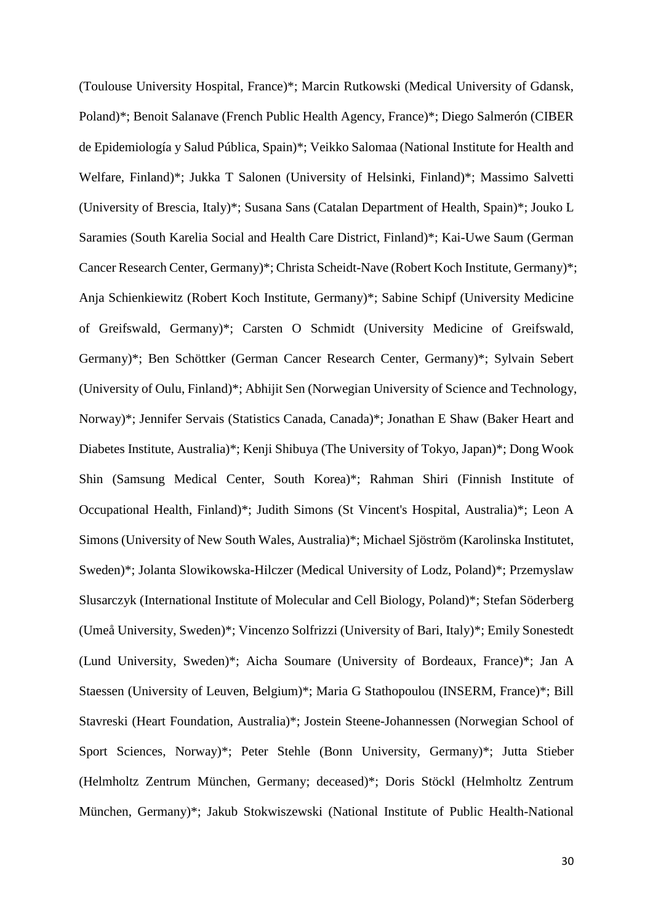(Toulouse University Hospital, France)\*; Marcin Rutkowski (Medical University of Gdansk, Poland)\*; Benoit Salanave (French Public Health Agency, France)\*; Diego Salmerón (CIBER de Epidemiología y Salud Pública, Spain)\*; Veikko Salomaa (National Institute for Health and Welfare, Finland)\*; Jukka T Salonen (University of Helsinki, Finland)\*; Massimo Salvetti (University of Brescia, Italy)\*; Susana Sans (Catalan Department of Health, Spain)\*; Jouko L Saramies (South Karelia Social and Health Care District, Finland)\*; Kai-Uwe Saum (German Cancer Research Center, Germany)\*; Christa Scheidt-Nave (Robert Koch Institute, Germany)\*; Anja Schienkiewitz (Robert Koch Institute, Germany)\*; Sabine Schipf (University Medicine of Greifswald, Germany)\*; Carsten O Schmidt (University Medicine of Greifswald, Germany)\*; Ben Schöttker (German Cancer Research Center, Germany)\*; Sylvain Sebert (University of Oulu, Finland)\*; Abhijit Sen (Norwegian University of Science and Technology, Norway)\*; Jennifer Servais (Statistics Canada, Canada)\*; Jonathan E Shaw (Baker Heart and Diabetes Institute, Australia)\*; Kenji Shibuya (The University of Tokyo, Japan)\*; Dong Wook Shin (Samsung Medical Center, South Korea)\*; Rahman Shiri (Finnish Institute of Occupational Health, Finland)\*; Judith Simons (St Vincent's Hospital, Australia)\*; Leon A Simons (University of New South Wales, Australia)\*; Michael Sjöström (Karolinska Institutet, Sweden)\*; Jolanta Slowikowska-Hilczer (Medical University of Lodz, Poland)\*; Przemyslaw Slusarczyk (International Institute of Molecular and Cell Biology, Poland)\*; Stefan Söderberg (Umeå University, Sweden)\*; Vincenzo Solfrizzi (University of Bari, Italy)\*; Emily Sonestedt (Lund University, Sweden)\*; Aicha Soumare (University of Bordeaux, France)\*; Jan A Staessen (University of Leuven, Belgium)\*; Maria G Stathopoulou (INSERM, France)\*; Bill Stavreski (Heart Foundation, Australia)\*; Jostein Steene-Johannessen (Norwegian School of Sport Sciences, Norway)\*; Peter Stehle (Bonn University, Germany)\*; Jutta Stieber (Helmholtz Zentrum München, Germany; deceased)\*; Doris Stöckl (Helmholtz Zentrum München, Germany)\*; Jakub Stokwiszewski (National Institute of Public Health-National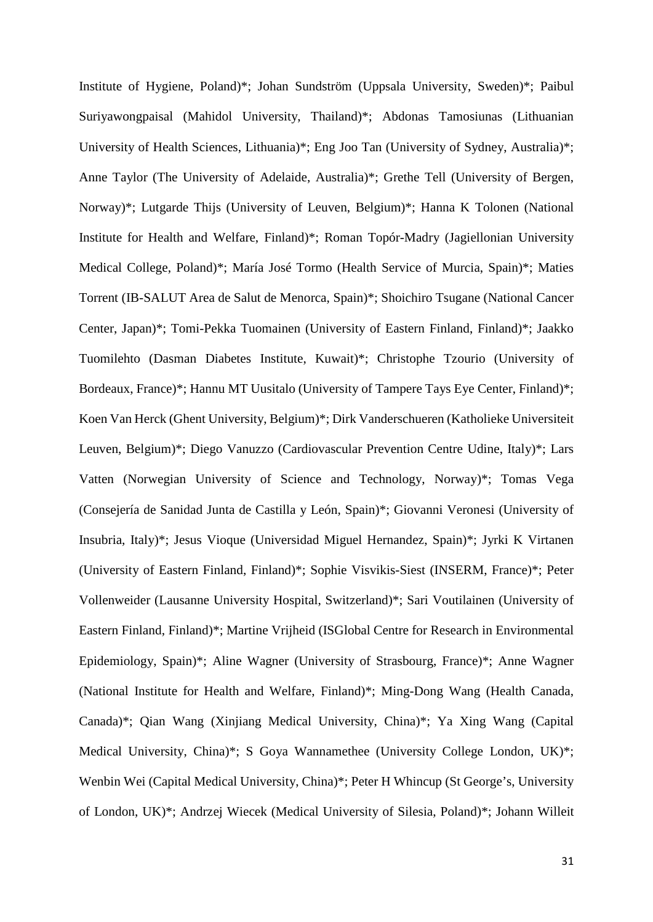Institute of Hygiene, Poland)\*; Johan Sundström (Uppsala University, Sweden)\*; Paibul Suriyawongpaisal (Mahidol University, Thailand)\*; Abdonas Tamosiunas (Lithuanian University of Health Sciences, Lithuania)\*; Eng Joo Tan (University of Sydney, Australia)\*; Anne Taylor (The University of Adelaide, Australia)\*; Grethe Tell (University of Bergen, Norway)\*; Lutgarde Thijs (University of Leuven, Belgium)\*; Hanna K Tolonen (National Institute for Health and Welfare, Finland)\*; Roman Topór-Madry (Jagiellonian University Medical College, Poland)\*; María José Tormo (Health Service of Murcia, Spain)\*; Maties Torrent (IB-SALUT Area de Salut de Menorca, Spain)\*; Shoichiro Tsugane (National Cancer Center, Japan)\*; Tomi-Pekka Tuomainen (University of Eastern Finland, Finland)\*; Jaakko Tuomilehto (Dasman Diabetes Institute, Kuwait)\*; Christophe Tzourio (University of Bordeaux, France)\*; Hannu MT Uusitalo (University of Tampere Tays Eye Center, Finland)\*; Koen Van Herck (Ghent University, Belgium)\*; Dirk Vanderschueren (Katholieke Universiteit Leuven, Belgium)\*; Diego Vanuzzo (Cardiovascular Prevention Centre Udine, Italy)\*; Lars Vatten (Norwegian University of Science and Technology, Norway)\*; Tomas Vega (Consejería de Sanidad Junta de Castilla y León, Spain)\*; Giovanni Veronesi (University of Insubria, Italy)\*; Jesus Vioque (Universidad Miguel Hernandez, Spain)\*; Jyrki K Virtanen (University of Eastern Finland, Finland)\*; Sophie Visvikis-Siest (INSERM, France)\*; Peter Vollenweider (Lausanne University Hospital, Switzerland)\*; Sari Voutilainen (University of Eastern Finland, Finland)\*; Martine Vrijheid (ISGlobal Centre for Research in Environmental Epidemiology, Spain)\*; Aline Wagner (University of Strasbourg, France)\*; Anne Wagner (National Institute for Health and Welfare, Finland)\*; Ming-Dong Wang (Health Canada, Canada)\*; Qian Wang (Xinjiang Medical University, China)\*; Ya Xing Wang (Capital Medical University, China)\*; S Goya Wannamethee (University College London, UK)\*; Wenbin Wei (Capital Medical University, China)\*; Peter H Whincup (St George's, University of London, UK)\*; Andrzej Wiecek (Medical University of Silesia, Poland)\*; Johann Willeit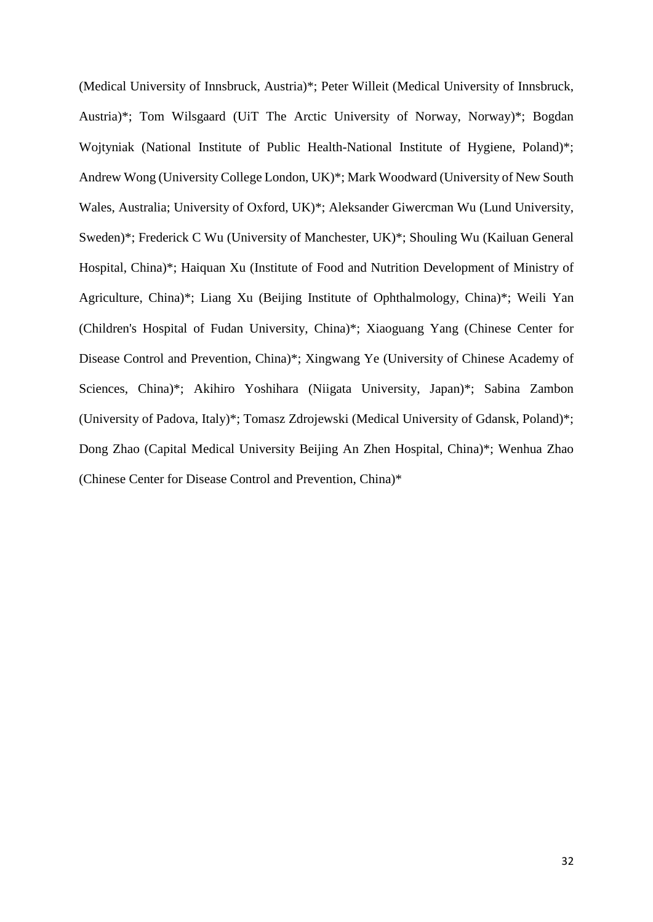(Medical University of Innsbruck, Austria)\*; Peter Willeit (Medical University of Innsbruck, Austria)\*; Tom Wilsgaard (UiT The Arctic University of Norway, Norway)\*; Bogdan Wojtyniak (National Institute of Public Health-National Institute of Hygiene, Poland)\*; Andrew Wong (University College London, UK)\*; Mark Woodward (University of New South Wales, Australia; University of Oxford, UK)\*; Aleksander Giwercman Wu (Lund University, Sweden)\*; Frederick C Wu (University of Manchester, UK)\*; Shouling Wu (Kailuan General Hospital, China)\*; Haiquan Xu (Institute of Food and Nutrition Development of Ministry of Agriculture, China)\*; Liang Xu (Beijing Institute of Ophthalmology, China)\*; Weili Yan (Children's Hospital of Fudan University, China)\*; Xiaoguang Yang (Chinese Center for Disease Control and Prevention, China)\*; Xingwang Ye (University of Chinese Academy of Sciences, China)\*; Akihiro Yoshihara (Niigata University, Japan)\*; Sabina Zambon (University of Padova, Italy)\*; Tomasz Zdrojewski (Medical University of Gdansk, Poland)\*; Dong Zhao (Capital Medical University Beijing An Zhen Hospital, China)\*; Wenhua Zhao (Chinese Center for Disease Control and Prevention, China)\*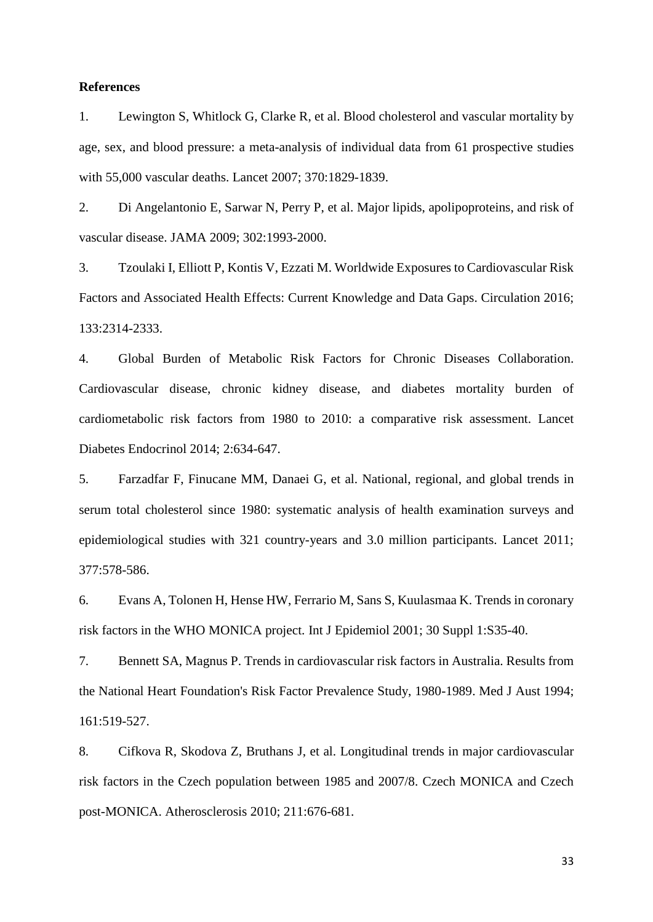#### **References**

1. Lewington S, Whitlock G, Clarke R, et al. Blood cholesterol and vascular mortality by age, sex, and blood pressure: a meta-analysis of individual data from 61 prospective studies with 55,000 vascular deaths. Lancet 2007; 370:1829-1839.

2. Di Angelantonio E, Sarwar N, Perry P, et al. Major lipids, apolipoproteins, and risk of vascular disease. JAMA 2009; 302:1993-2000.

3. Tzoulaki I, Elliott P, Kontis V, Ezzati M. Worldwide Exposures to Cardiovascular Risk Factors and Associated Health Effects: Current Knowledge and Data Gaps. Circulation 2016; 133:2314-2333.

4. Global Burden of Metabolic Risk Factors for Chronic Diseases Collaboration. Cardiovascular disease, chronic kidney disease, and diabetes mortality burden of cardiometabolic risk factors from 1980 to 2010: a comparative risk assessment. Lancet Diabetes Endocrinol 2014; 2:634-647.

5. Farzadfar F, Finucane MM, Danaei G, et al. National, regional, and global trends in serum total cholesterol since 1980: systematic analysis of health examination surveys and epidemiological studies with 321 country-years and 3.0 million participants. Lancet 2011; 377:578-586.

6. Evans A, Tolonen H, Hense HW, Ferrario M, Sans S, Kuulasmaa K. Trends in coronary risk factors in the WHO MONICA project. Int J Epidemiol 2001; 30 Suppl 1:S35-40.

7. Bennett SA, Magnus P. Trends in cardiovascular risk factors in Australia. Results from the National Heart Foundation's Risk Factor Prevalence Study, 1980-1989. Med J Aust 1994; 161:519-527.

8. Cifkova R, Skodova Z, Bruthans J, et al. Longitudinal trends in major cardiovascular risk factors in the Czech population between 1985 and 2007/8. Czech MONICA and Czech post-MONICA. Atherosclerosis 2010; 211:676-681.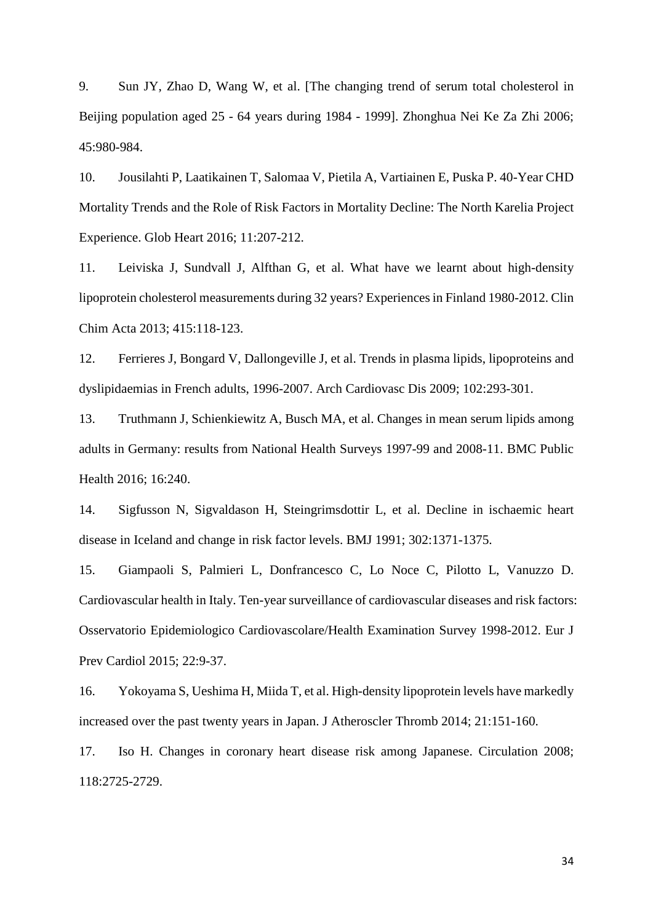9. Sun JY, Zhao D, Wang W, et al. [The changing trend of serum total cholesterol in Beijing population aged 25 - 64 years during 1984 - 1999]. Zhonghua Nei Ke Za Zhi 2006; 45:980-984.

10. Jousilahti P, Laatikainen T, Salomaa V, Pietila A, Vartiainen E, Puska P. 40-Year CHD Mortality Trends and the Role of Risk Factors in Mortality Decline: The North Karelia Project Experience. Glob Heart 2016; 11:207-212.

11. Leiviska J, Sundvall J, Alfthan G, et al. What have we learnt about high-density lipoprotein cholesterol measurements during 32 years? Experiences in Finland 1980-2012. Clin Chim Acta 2013; 415:118-123.

12. Ferrieres J, Bongard V, Dallongeville J, et al. Trends in plasma lipids, lipoproteins and dyslipidaemias in French adults, 1996-2007. Arch Cardiovasc Dis 2009; 102:293-301.

13. Truthmann J, Schienkiewitz A, Busch MA, et al. Changes in mean serum lipids among adults in Germany: results from National Health Surveys 1997-99 and 2008-11. BMC Public Health 2016; 16:240.

14. Sigfusson N, Sigvaldason H, Steingrimsdottir L, et al. Decline in ischaemic heart disease in Iceland and change in risk factor levels. BMJ 1991; 302:1371-1375.

15. Giampaoli S, Palmieri L, Donfrancesco C, Lo Noce C, Pilotto L, Vanuzzo D. Cardiovascular health in Italy. Ten-year surveillance of cardiovascular diseases and risk factors: Osservatorio Epidemiologico Cardiovascolare/Health Examination Survey 1998-2012. Eur J Prev Cardiol 2015; 22:9-37.

16. Yokoyama S, Ueshima H, Miida T, et al. High-density lipoprotein levels have markedly increased over the past twenty years in Japan. J Atheroscler Thromb 2014; 21:151-160.

17. Iso H. Changes in coronary heart disease risk among Japanese. Circulation 2008; 118:2725-2729.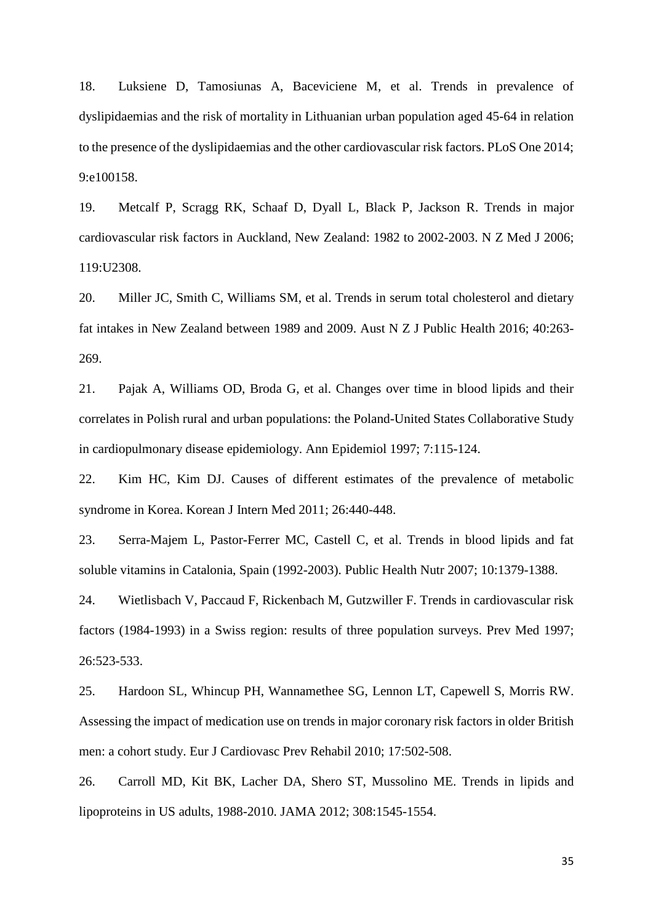18. Luksiene D, Tamosiunas A, Baceviciene M, et al. Trends in prevalence of dyslipidaemias and the risk of mortality in Lithuanian urban population aged 45-64 in relation to the presence of the dyslipidaemias and the other cardiovascular risk factors. PLoS One 2014; 9:e100158.

19. Metcalf P, Scragg RK, Schaaf D, Dyall L, Black P, Jackson R. Trends in major cardiovascular risk factors in Auckland, New Zealand: 1982 to 2002-2003. N Z Med J 2006; 119:U2308.

20. Miller JC, Smith C, Williams SM, et al. Trends in serum total cholesterol and dietary fat intakes in New Zealand between 1989 and 2009. Aust N Z J Public Health 2016; 40:263- 269.

21. Pajak A, Williams OD, Broda G, et al. Changes over time in blood lipids and their correlates in Polish rural and urban populations: the Poland-United States Collaborative Study in cardiopulmonary disease epidemiology. Ann Epidemiol 1997; 7:115-124.

22. Kim HC, Kim DJ. Causes of different estimates of the prevalence of metabolic syndrome in Korea. Korean J Intern Med 2011; 26:440-448.

23. Serra-Majem L, Pastor-Ferrer MC, Castell C, et al. Trends in blood lipids and fat soluble vitamins in Catalonia, Spain (1992-2003). Public Health Nutr 2007; 10:1379-1388.

24. Wietlisbach V, Paccaud F, Rickenbach M, Gutzwiller F. Trends in cardiovascular risk factors (1984-1993) in a Swiss region: results of three population surveys. Prev Med 1997; 26:523-533.

25. Hardoon SL, Whincup PH, Wannamethee SG, Lennon LT, Capewell S, Morris RW. Assessing the impact of medication use on trends in major coronary risk factors in older British men: a cohort study. Eur J Cardiovasc Prev Rehabil 2010; 17:502-508.

26. Carroll MD, Kit BK, Lacher DA, Shero ST, Mussolino ME. Trends in lipids and lipoproteins in US adults, 1988-2010. JAMA 2012; 308:1545-1554.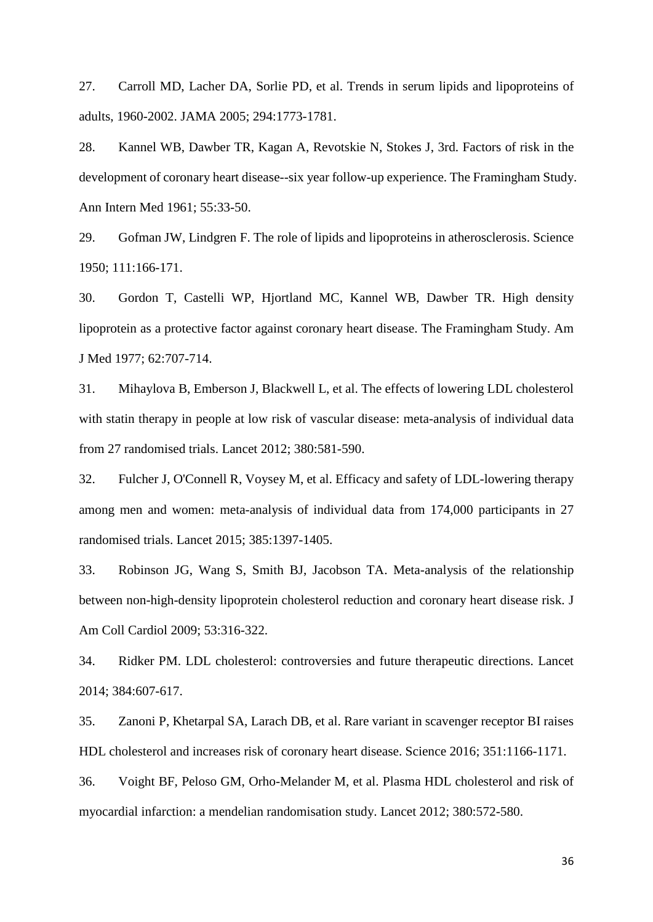27. Carroll MD, Lacher DA, Sorlie PD, et al. Trends in serum lipids and lipoproteins of adults, 1960-2002. JAMA 2005; 294:1773-1781.

28. Kannel WB, Dawber TR, Kagan A, Revotskie N, Stokes J, 3rd. Factors of risk in the development of coronary heart disease--six year follow-up experience. The Framingham Study. Ann Intern Med 1961; 55:33-50.

29. Gofman JW, Lindgren F. The role of lipids and lipoproteins in atherosclerosis. Science 1950; 111:166-171.

30. Gordon T, Castelli WP, Hjortland MC, Kannel WB, Dawber TR. High density lipoprotein as a protective factor against coronary heart disease. The Framingham Study. Am J Med 1977; 62:707-714.

31. Mihaylova B, Emberson J, Blackwell L, et al. The effects of lowering LDL cholesterol with statin therapy in people at low risk of vascular disease: meta-analysis of individual data from 27 randomised trials. Lancet 2012; 380:581-590.

32. Fulcher J, O'Connell R, Voysey M, et al. Efficacy and safety of LDL-lowering therapy among men and women: meta-analysis of individual data from 174,000 participants in 27 randomised trials. Lancet 2015; 385:1397-1405.

33. Robinson JG, Wang S, Smith BJ, Jacobson TA. Meta-analysis of the relationship between non-high-density lipoprotein cholesterol reduction and coronary heart disease risk. J Am Coll Cardiol 2009; 53:316-322.

34. Ridker PM. LDL cholesterol: controversies and future therapeutic directions. Lancet 2014; 384:607-617.

35. Zanoni P, Khetarpal SA, Larach DB, et al. Rare variant in scavenger receptor BI raises HDL cholesterol and increases risk of coronary heart disease. Science 2016; 351:1166-1171.

36. Voight BF, Peloso GM, Orho-Melander M, et al. Plasma HDL cholesterol and risk of myocardial infarction: a mendelian randomisation study. Lancet 2012; 380:572-580.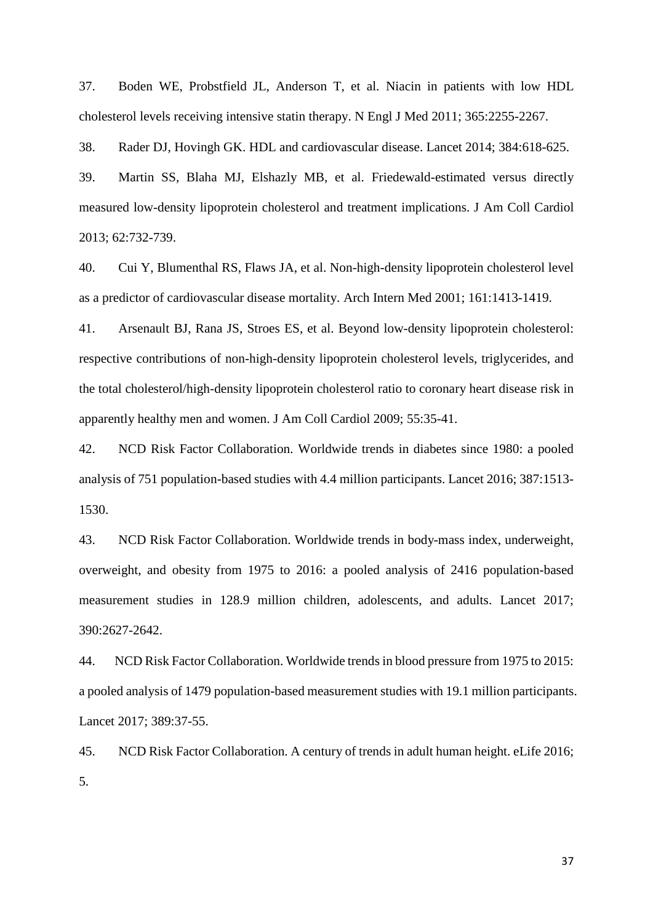37. Boden WE, Probstfield JL, Anderson T, et al. Niacin in patients with low HDL cholesterol levels receiving intensive statin therapy. N Engl J Med 2011; 365:2255-2267.

38. Rader DJ, Hovingh GK. HDL and cardiovascular disease. Lancet 2014; 384:618-625.

39. Martin SS, Blaha MJ, Elshazly MB, et al. Friedewald-estimated versus directly measured low-density lipoprotein cholesterol and treatment implications. J Am Coll Cardiol 2013; 62:732-739.

40. Cui Y, Blumenthal RS, Flaws JA, et al. Non-high-density lipoprotein cholesterol level as a predictor of cardiovascular disease mortality. Arch Intern Med 2001; 161:1413-1419.

41. Arsenault BJ, Rana JS, Stroes ES, et al. Beyond low-density lipoprotein cholesterol: respective contributions of non-high-density lipoprotein cholesterol levels, triglycerides, and the total cholesterol/high-density lipoprotein cholesterol ratio to coronary heart disease risk in apparently healthy men and women. J Am Coll Cardiol 2009; 55:35-41.

42. NCD Risk Factor Collaboration. Worldwide trends in diabetes since 1980: a pooled analysis of 751 population-based studies with 4.4 million participants. Lancet 2016; 387:1513- 1530.

43. NCD Risk Factor Collaboration. Worldwide trends in body-mass index, underweight, overweight, and obesity from 1975 to 2016: a pooled analysis of 2416 population-based measurement studies in 128.9 million children, adolescents, and adults. Lancet 2017; 390:2627-2642.

44. NCD Risk Factor Collaboration. Worldwide trends in blood pressure from 1975 to 2015: a pooled analysis of 1479 population-based measurement studies with 19.1 million participants. Lancet 2017; 389:37-55.

45. NCD Risk Factor Collaboration. A century of trends in adult human height. eLife 2016; 5.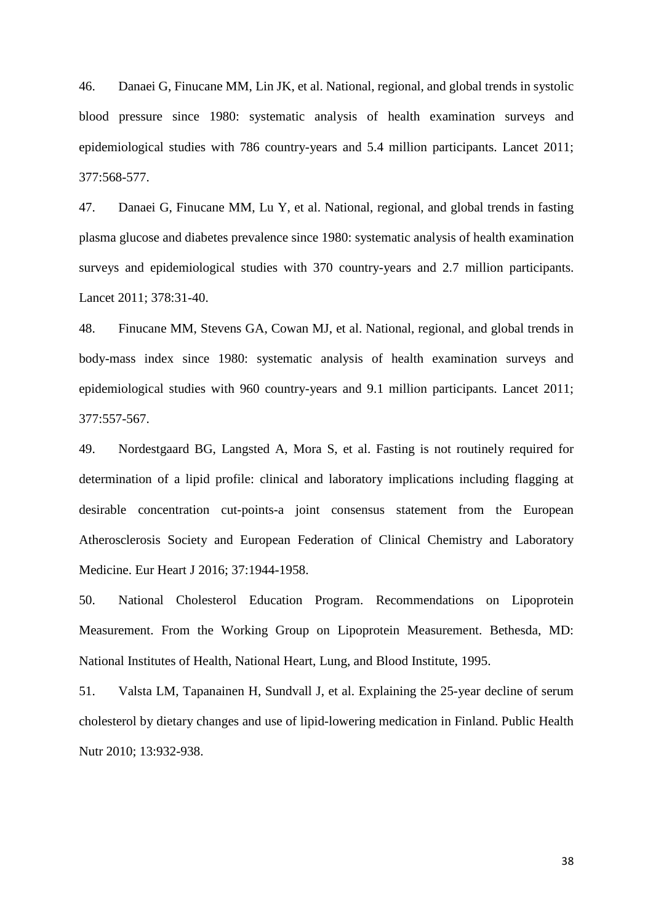46. Danaei G, Finucane MM, Lin JK, et al. National, regional, and global trends in systolic blood pressure since 1980: systematic analysis of health examination surveys and epidemiological studies with 786 country-years and 5.4 million participants. Lancet 2011; 377:568-577.

47. Danaei G, Finucane MM, Lu Y, et al. National, regional, and global trends in fasting plasma glucose and diabetes prevalence since 1980: systematic analysis of health examination surveys and epidemiological studies with 370 country-years and 2.7 million participants. Lancet 2011; 378:31-40.

48. Finucane MM, Stevens GA, Cowan MJ, et al. National, regional, and global trends in body-mass index since 1980: systematic analysis of health examination surveys and epidemiological studies with 960 country-years and 9.1 million participants. Lancet 2011; 377:557-567.

49. Nordestgaard BG, Langsted A, Mora S, et al. Fasting is not routinely required for determination of a lipid profile: clinical and laboratory implications including flagging at desirable concentration cut-points-a joint consensus statement from the European Atherosclerosis Society and European Federation of Clinical Chemistry and Laboratory Medicine. Eur Heart J 2016; 37:1944-1958.

50. National Cholesterol Education Program. Recommendations on Lipoprotein Measurement. From the Working Group on Lipoprotein Measurement. Bethesda, MD: National Institutes of Health, National Heart, Lung, and Blood Institute, 1995.

51. Valsta LM, Tapanainen H, Sundvall J, et al. Explaining the 25-year decline of serum cholesterol by dietary changes and use of lipid-lowering medication in Finland. Public Health Nutr 2010; 13:932-938.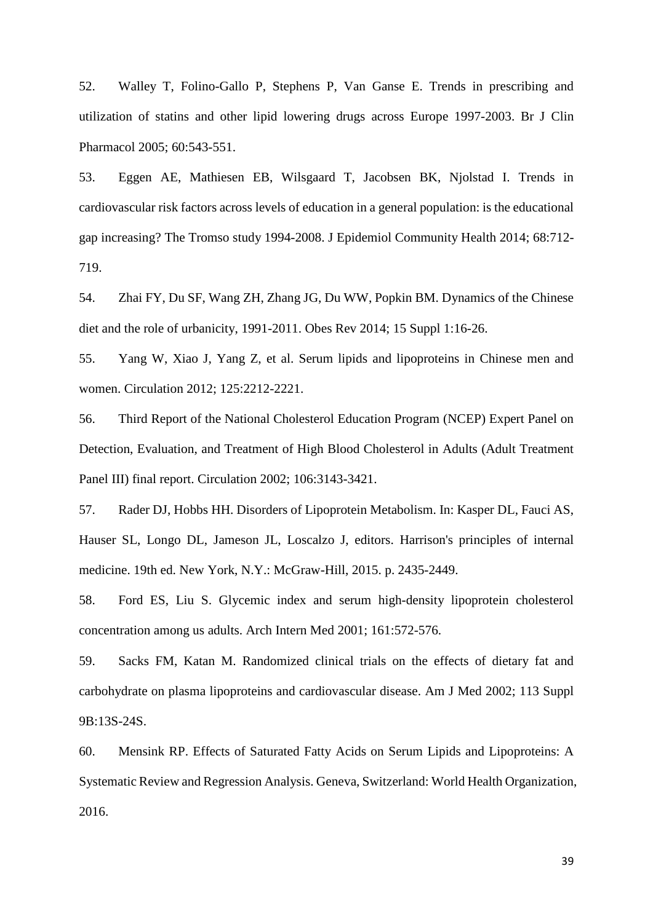52. Walley T, Folino-Gallo P, Stephens P, Van Ganse E. Trends in prescribing and utilization of statins and other lipid lowering drugs across Europe 1997-2003. Br J Clin Pharmacol 2005; 60:543-551.

53. Eggen AE, Mathiesen EB, Wilsgaard T, Jacobsen BK, Njolstad I. Trends in cardiovascular risk factors across levels of education in a general population: is the educational gap increasing? The Tromso study 1994-2008. J Epidemiol Community Health 2014; 68:712- 719.

54. Zhai FY, Du SF, Wang ZH, Zhang JG, Du WW, Popkin BM. Dynamics of the Chinese diet and the role of urbanicity, 1991-2011. Obes Rev 2014; 15 Suppl 1:16-26.

55. Yang W, Xiao J, Yang Z, et al. Serum lipids and lipoproteins in Chinese men and women. Circulation 2012; 125:2212-2221.

56. Third Report of the National Cholesterol Education Program (NCEP) Expert Panel on Detection, Evaluation, and Treatment of High Blood Cholesterol in Adults (Adult Treatment Panel III) final report. Circulation 2002; 106:3143-3421.

57. Rader DJ, Hobbs HH. Disorders of Lipoprotein Metabolism. In: Kasper DL, Fauci AS, Hauser SL, Longo DL, Jameson JL, Loscalzo J, editors. Harrison's principles of internal medicine. 19th ed. New York, N.Y.: McGraw-Hill, 2015. p. 2435-2449.

58. Ford ES, Liu S. Glycemic index and serum high-density lipoprotein cholesterol concentration among us adults. Arch Intern Med 2001; 161:572-576.

59. Sacks FM, Katan M. Randomized clinical trials on the effects of dietary fat and carbohydrate on plasma lipoproteins and cardiovascular disease. Am J Med 2002; 113 Suppl 9B:13S-24S.

60. Mensink RP. Effects of Saturated Fatty Acids on Serum Lipids and Lipoproteins: A Systematic Review and Regression Analysis. Geneva, Switzerland: World Health Organization, 2016.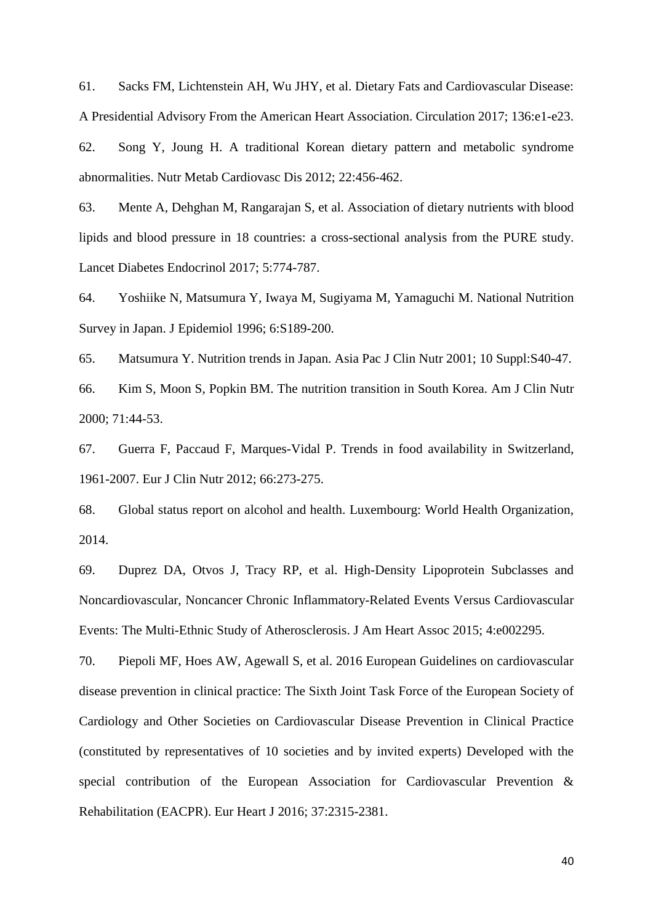61. Sacks FM, Lichtenstein AH, Wu JHY, et al. Dietary Fats and Cardiovascular Disease: A Presidential Advisory From the American Heart Association. Circulation 2017; 136:e1-e23.

62. Song Y, Joung H. A traditional Korean dietary pattern and metabolic syndrome abnormalities. Nutr Metab Cardiovasc Dis 2012; 22:456-462.

63. Mente A, Dehghan M, Rangarajan S, et al. Association of dietary nutrients with blood lipids and blood pressure in 18 countries: a cross-sectional analysis from the PURE study. Lancet Diabetes Endocrinol 2017; 5:774-787.

64. Yoshiike N, Matsumura Y, Iwaya M, Sugiyama M, Yamaguchi M. National Nutrition Survey in Japan. J Epidemiol 1996; 6:S189-200.

65. Matsumura Y. Nutrition trends in Japan. Asia Pac J Clin Nutr 2001; 10 Suppl:S40-47.

66. Kim S, Moon S, Popkin BM. The nutrition transition in South Korea. Am J Clin Nutr 2000; 71:44-53.

67. Guerra F, Paccaud F, Marques-Vidal P. Trends in food availability in Switzerland, 1961-2007. Eur J Clin Nutr 2012; 66:273-275.

68. Global status report on alcohol and health. Luxembourg: World Health Organization, 2014.

69. Duprez DA, Otvos J, Tracy RP, et al. High-Density Lipoprotein Subclasses and Noncardiovascular, Noncancer Chronic Inflammatory-Related Events Versus Cardiovascular Events: The Multi-Ethnic Study of Atherosclerosis. J Am Heart Assoc 2015; 4:e002295.

70. Piepoli MF, Hoes AW, Agewall S, et al. 2016 European Guidelines on cardiovascular disease prevention in clinical practice: The Sixth Joint Task Force of the European Society of Cardiology and Other Societies on Cardiovascular Disease Prevention in Clinical Practice (constituted by representatives of 10 societies and by invited experts) Developed with the special contribution of the European Association for Cardiovascular Prevention & Rehabilitation (EACPR). Eur Heart J 2016; 37:2315-2381.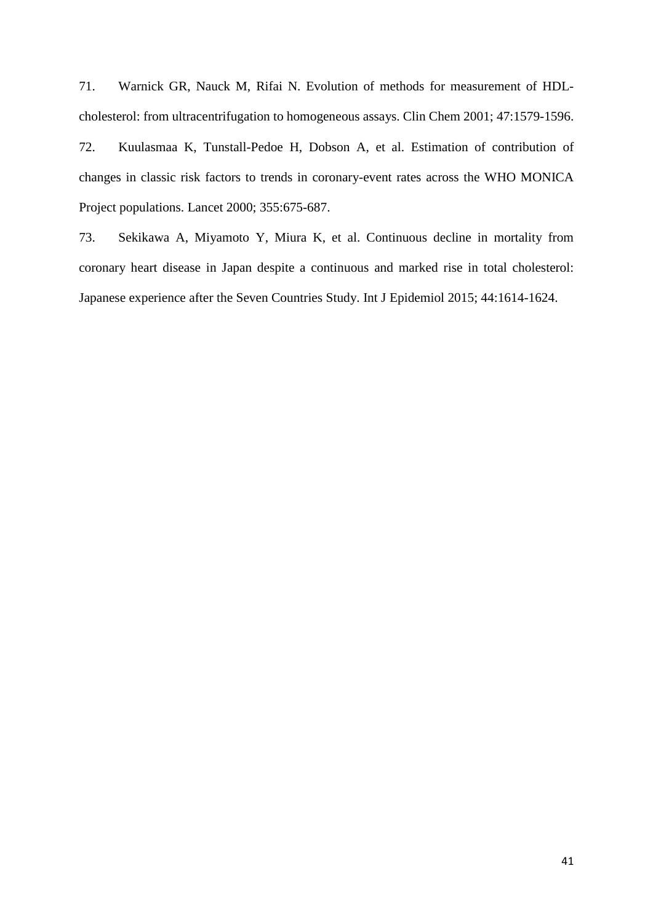71. Warnick GR, Nauck M, Rifai N. Evolution of methods for measurement of HDLcholesterol: from ultracentrifugation to homogeneous assays. Clin Chem 2001; 47:1579-1596.

72. Kuulasmaa K, Tunstall-Pedoe H, Dobson A, et al. Estimation of contribution of changes in classic risk factors to trends in coronary-event rates across the WHO MONICA Project populations. Lancet 2000; 355:675-687.

73. Sekikawa A, Miyamoto Y, Miura K, et al. Continuous decline in mortality from coronary heart disease in Japan despite a continuous and marked rise in total cholesterol: Japanese experience after the Seven Countries Study. Int J Epidemiol 2015; 44:1614-1624.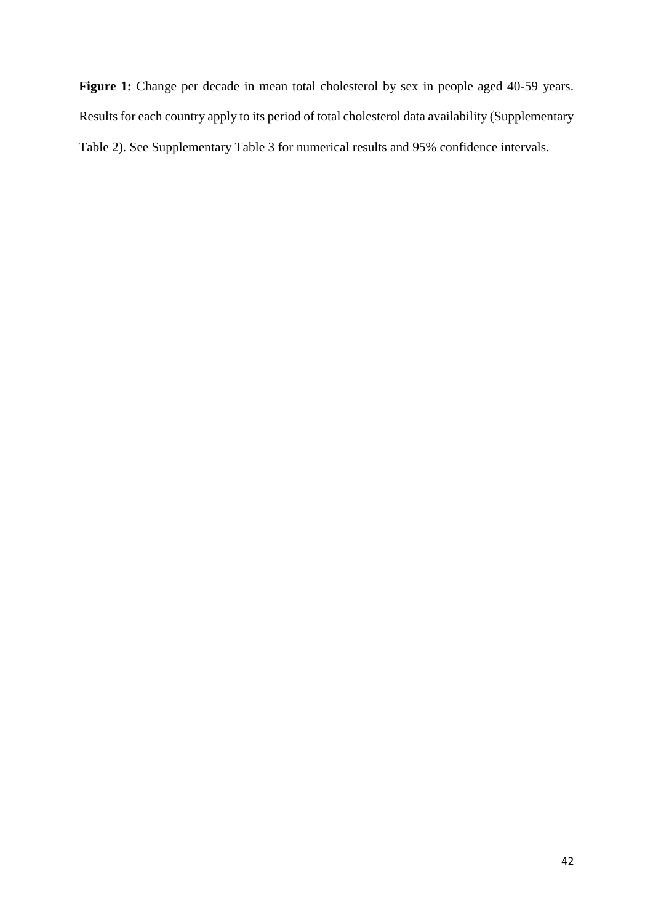Figure 1: Change per decade in mean total cholesterol by sex in people aged 40-59 years. Results for each country apply to its period of total cholesterol data availability (Supplementary Table 2). See Supplementary Table 3 for numerical results and 95% confidence intervals.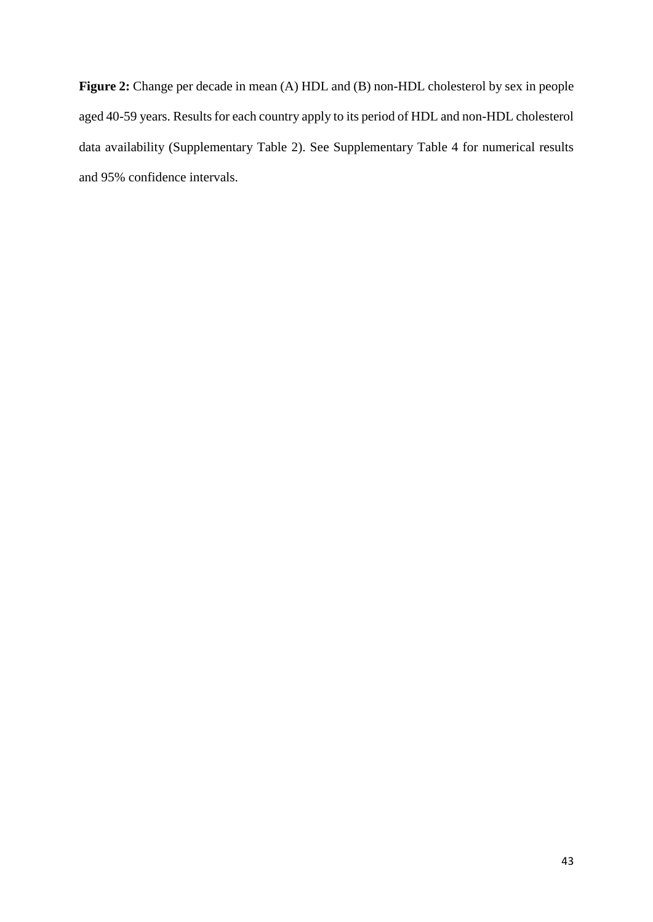**Figure 2:** Change per decade in mean (A) HDL and (B) non-HDL cholesterol by sex in people aged 40-59 years. Results for each country apply to its period of HDL and non-HDL cholesterol data availability (Supplementary Table 2). See Supplementary Table 4 for numerical results and 95% confidence intervals.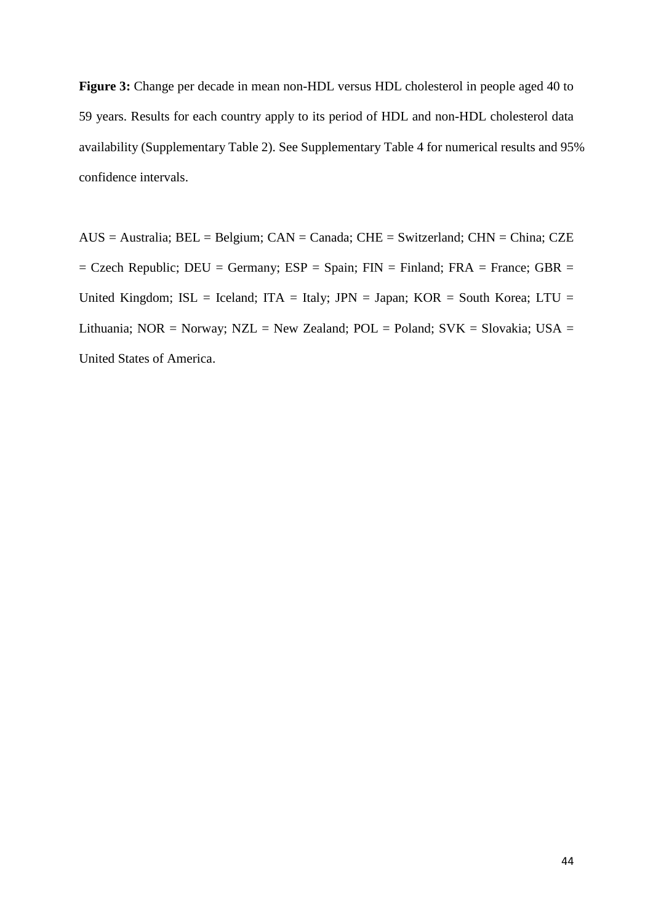**Figure 3:** Change per decade in mean non-HDL versus HDL cholesterol in people aged 40 to 59 years. Results for each country apply to its period of HDL and non-HDL cholesterol data availability (Supplementary Table 2). See Supplementary Table 4 for numerical results and 95% confidence intervals.

AUS = Australia; BEL = Belgium; CAN = Canada; CHE = Switzerland; CHN = China; CZE  $=$  Czech Republic; DEU = Germany; ESP = Spain; FIN = Finland; FRA = France; GBR = United Kingdom;  $ISL =$  Iceland;  $ITA = Italy$ ;  $JPN = Japan$ ;  $KOR = South Korea$ ;  $LTU =$ Lithuania; NOR = Norway; NZL = New Zealand;  $POL = Poland$ ;  $SVK = Solovakia$ ;  $USA =$ United States of America.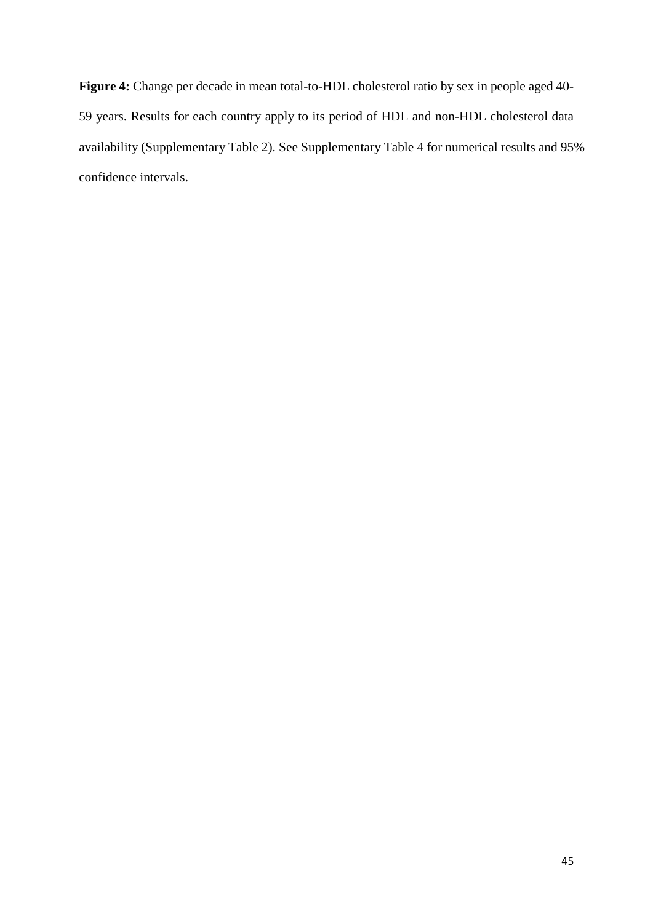**Figure 4:** Change per decade in mean total-to-HDL cholesterol ratio by sex in people aged 40- 59 years. Results for each country apply to its period of HDL and non-HDL cholesterol data availability (Supplementary Table 2). See Supplementary Table 4 for numerical results and 95% confidence intervals.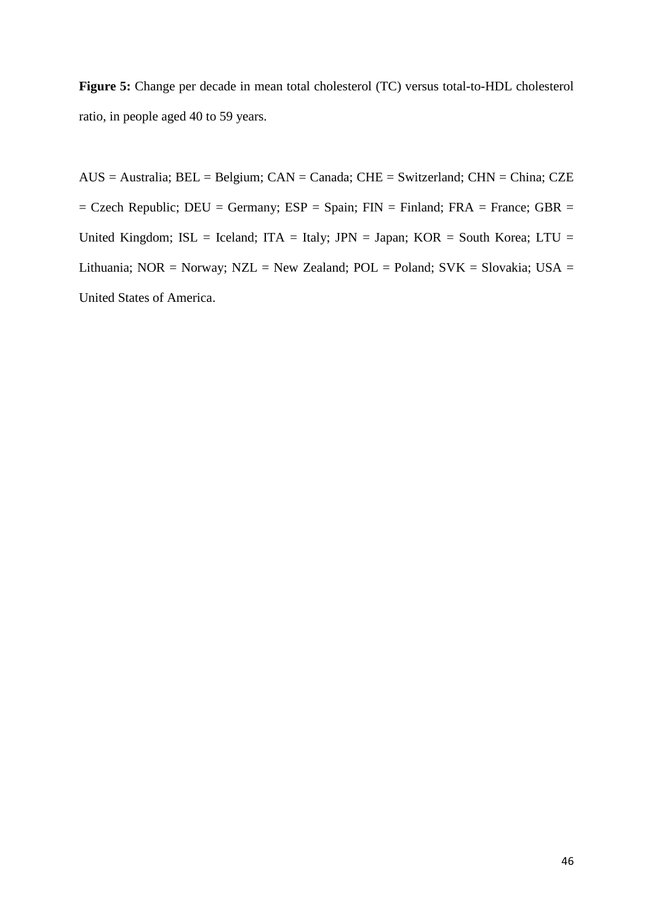**Figure 5:** Change per decade in mean total cholesterol (TC) versus total-to-HDL cholesterol ratio, in people aged 40 to 59 years.

AUS = Australia; BEL = Belgium; CAN = Canada; CHE = Switzerland; CHN = China; CZE  $=$  Czech Republic; DEU = Germany; ESP = Spain; FIN = Finland; FRA = France; GBR = United Kingdom;  $ISL =$  Iceland; ITA = Italy; JPN = Japan; KOR = South Korea; LTU = Lithuania; NOR = Norway; NZL = New Zealand;  $POL = Poland$ ;  $SVK = Slowakia$ ;  $USA =$ United States of America.